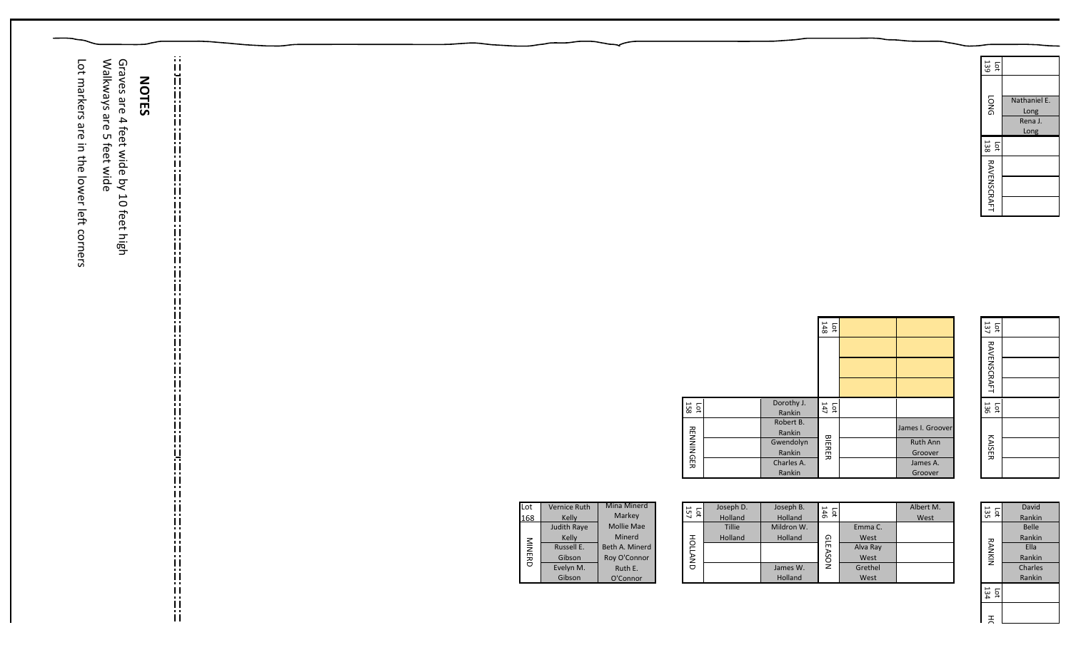| Graves are<br>Lot markers are in the lower left corners<br>Walkways<br><b>NOTES</b><br>are<br>$\overline{\mathbf{4}}$<br>feet wide by 10 feet high<br>5 feet wide | $\ddot{\mathrm{ii}}$<br>$\ddot{\mathbf{u}}$<br>ij<br>$\mathbf{H}$<br>$\mathbf{0}$ .<br>$\mathbf{\mathbf{H}}$<br>$\blacksquare$<br>:::::::<br>::::::::::::::::::::::<br>$\mathbf{H}$<br>$\frac{11}{11}$<br>$\mathbf{0}$ |                                                                                                                                                                                                                                       |                                                                                                                                                       |                                                                                                                            | Lot $139$<br><b>DNG</b><br>Nathaniel E.<br>Long<br>Rena J.<br>Long<br>Lot $138$<br>RAVENSCRAFT                                                   |
|-------------------------------------------------------------------------------------------------------------------------------------------------------------------|------------------------------------------------------------------------------------------------------------------------------------------------------------------------------------------------------------------------|---------------------------------------------------------------------------------------------------------------------------------------------------------------------------------------------------------------------------------------|-------------------------------------------------------------------------------------------------------------------------------------------------------|----------------------------------------------------------------------------------------------------------------------------|--------------------------------------------------------------------------------------------------------------------------------------------------|
|                                                                                                                                                                   | li<br>ii<br>Ħ<br>  ;  :  :  :  :  :  :  :  ;<br> -<br>$\frac{11}{11}$                                                                                                                                                  |                                                                                                                                                                                                                                       | Dorothy J.<br>Lot $158$<br>Rankin<br>Robert B.<br><b>RENNINGER</b><br>Rankin<br>Gwendolyn<br>Rankin<br>Charles A.<br>Rankin                           | $rac{1}{148}$<br>Lot<br>$\frac{1}{147}$<br>James I. Groover<br><b>BIERER</b><br>Ruth Ann<br>Groover<br>James A.<br>Groover | Lot $137$<br><b>RAVENSCRAFT</b><br>Lot<br>$136$<br>KAISER                                                                                        |
|                                                                                                                                                                   | ij.<br>Ш<br>$\sim 10$<br>$\mathbf{H}$<br>ii<br>ii<br>il.<br>İi                                                                                                                                                         | Mina Minerd<br>Vernice Ruth<br>Lot<br>Markey<br>168<br>Kelly<br>Mollie Mae<br>Judith Raye<br>Minerd<br>Kelly<br><b>MINERD</b><br>Russell E.<br>Beth A. Minerd<br>Roy O'Connor<br>Gibson<br>Evelyn M.<br>Ruth E.<br>Gibson<br>O'Connor | Joseph D.<br>Joseph B.<br>Lot $\frac{157}{257}$<br>Holland<br>Holland<br>Tillie<br>Mildron W.<br>HOLLAND<br>Holland<br>Holland<br>James W.<br>Holland | Albert M.<br>146<br>146<br>West<br>Emma C.<br><b>GLEASON</b><br>West<br>Alva Ray<br>West<br>Grethel<br>West                | David<br>$\frac{1}{2}$<br>Rankin<br>Belle<br>Rankin<br><b>RANKIN</b><br>Ella<br>Rankin<br>Charles<br>Rankin<br>$\frac{1}{134}$<br>$\overline{a}$ |

HOLLAND

 $\vert$  =  $\vert$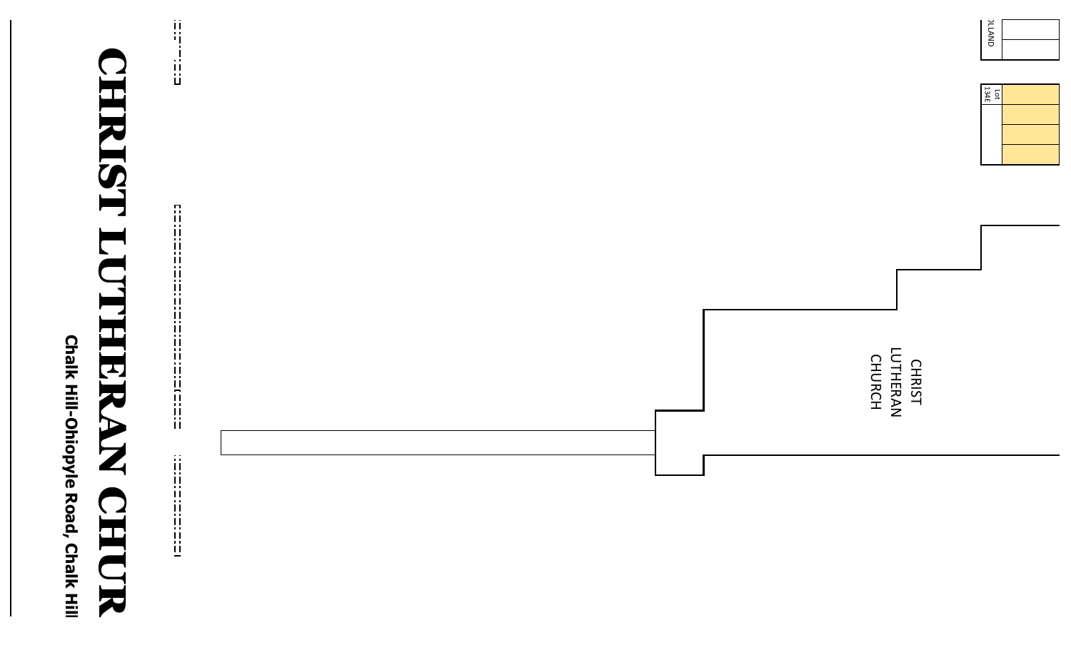Chalk Hill-Ohiopyle Road, Chalk Hill **Chalk Hill-Ohiopyle Road, Chalk Hill** 

## CHRIST LUTHERAN CHUR **CHIRIST LU** Œ IERAN CHIOR

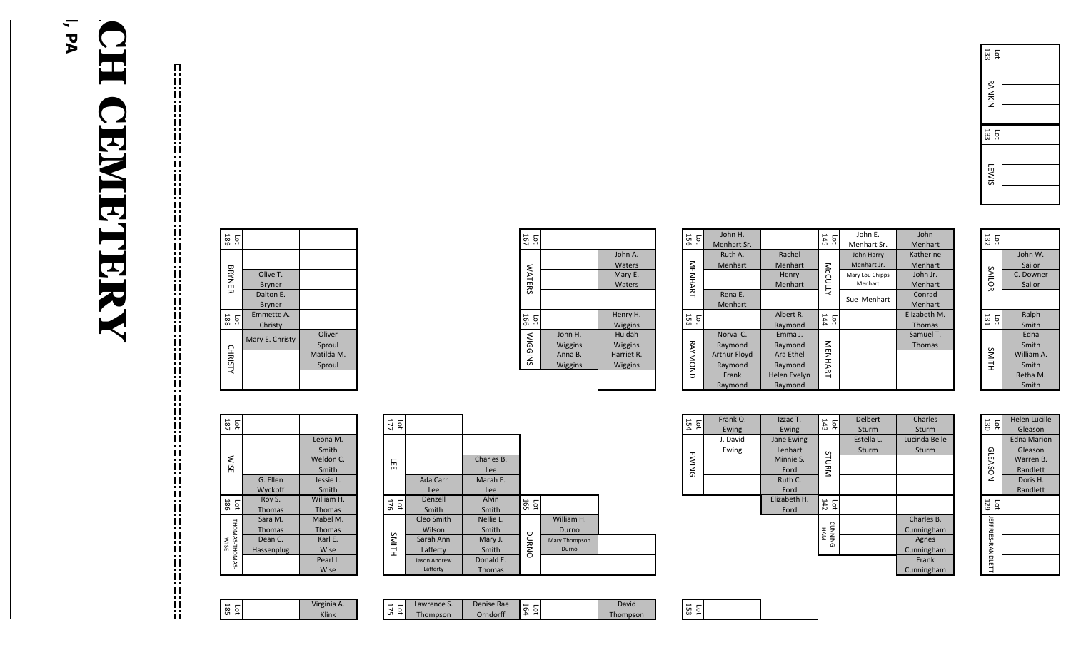|  | Lot<br>189             |                 |            |
|--|------------------------|-----------------|------------|
|  |                        |                 |            |
|  | BRYNER                 | Olive T.        |            |
|  |                        | <b>Bryner</b>   |            |
|  |                        | Dalton E.       |            |
|  |                        | <b>Bryner</b>   |            |
|  | Lot<br>$\frac{1}{188}$ | Emmette A.      |            |
|  |                        | Christy         |            |
|  |                        | Mary E. Christy | Oliver     |
|  | <b>CHRISTY</b>         |                 | Sproul     |
|  |                        |                 | Matilda M. |
|  |                        |                 | Sproul     |
|  |                        |                 |            |
|  |                        |                 |            |

| Lot<br>$\frac{1}{187}$ |               |               |
|------------------------|---------------|---------------|
|                        |               | Leona M.      |
|                        |               | Smith         |
| <b>NISE</b>            |               | Weldon C.     |
|                        |               | Smith         |
|                        | G. Ellen      | Jessie L.     |
|                        | Wyckoff       | Smith         |
| lot<br>186             | Roy S.        | William H.    |
|                        | <b>Thomas</b> | <b>Thomas</b> |
|                        | Sara M.       | Mabel M.      |
|                        | <b>Thomas</b> | <b>Thomas</b> |
|                        | Dean C.       | Karl E.       |
|                        | Hassenplug    | Wise          |
| THOMAS-THOMAS-<br>WISE |               | Pearl I.      |
|                        |               | Wise          |

177 Lot

176 Lot

LEE NATIONS SMITH

SMITH

 $\overline{\mathbb{H}}$ 

175 Lot

Ada Carr Lee

> Denzell Smith

Cleo Smith Wilson

Sarah Ann Lafferty

Jason Andrew Lafferty

Lawrence S. Thompson

Charles B. Lee

Marah E. Lee

Alvin Smith

Nellie L. Smith

Mary J. Smith

Donald E. Thomas

Denise Rae Orndorff

DURNO

164 Lot

|  | Virginia A. |
|--|-------------|
|--|-------------|

| Lot            |                        |            |
|----------------|------------------------|------------|
|                |                        | John A.    |
|                |                        | Waters     |
|                |                        | Mary E.    |
| <b>WATERS</b>  |                        | Waters     |
|                |                        |            |
| Lot<br>166     |                        | Henry H.   |
|                |                        | Wiggins    |
| <b>WIGGINS</b> | John H.                | Huldah     |
|                | Wiggins                | Wiggins    |
|                | Anna B.                | Harriet R. |
|                | Wiggins                | Wiggins    |
|                |                        |            |
|                |                        |            |
|                |                        |            |
|                |                        |            |
|                |                        |            |
|                |                        |            |
|                |                        |            |
|                |                        |            |
|                |                        |            |
|                |                        |            |
|                |                        |            |
|                |                        |            |
|                |                        |            |
| Lot<br>165     |                        |            |
|                | William H.             |            |
|                | Durno<br>Mary Thompson |            |
| DNANO          | Durno                  |            |

| 951<br>ĔД      | John H.             |                | 145       | John E.           | John          |
|----------------|---------------------|----------------|-----------|-------------------|---------------|
|                | Menhart Sr.         |                | ĔΩ        | Menhart Sr.       | Menhart       |
|                | Ruth A.             | Rachel         |           | <b>John Harry</b> | Katherine     |
|                | Menhart             | <b>Menhart</b> |           | Menhart Jr.       | Menhart       |
| <b>MENHART</b> |                     | Henry          | McCULLY   | Mary Lou Chipps   | John Jr.      |
|                |                     | Menhart        |           | Menhart           | Menhart       |
|                | Rena E.             |                |           | Sue Menhart       | Conrad        |
|                | Menhart             |                |           |                   | Menhart       |
| 155<br>ĒС      |                     | Albert R.      | 144<br>рÎ |                   | Elizabeth M.  |
|                |                     | Raymond        |           |                   | <b>Thomas</b> |
|                | Norval C.           | Emma J.        |           |                   | Samuel T.     |
|                |                     |                |           |                   |               |
|                | Raymond             | Raymond        |           |                   | <b>Thomas</b> |
|                | <b>Arthur Floyd</b> | Ara Ethel      |           |                   |               |
|                | Raymond             | Raymond        |           |                   |               |
| RAYMOND        | Frank               | Helen Evelyn   | NENHART   |                   |               |
|                | Raymond             | Raymond        |           |                   |               |

| $\frac{1}{13}$ |            |
|----------------|------------|
|                | John W.    |
|                | Sailor     |
|                | C. Downer  |
| SAILOR         | Sailor     |
| ន<br>ខេ        | Ralph      |
|                | Smith      |
|                | Edna       |
|                | Smith      |
| SMITH          | William A. |
|                | Smith      |
|                | Retha M.   |
|                | Smith      |

| 154<br>$\overline{5}$ | Frank O.<br>Ewing | Izzac T.<br>Ewing     | Lot<br>$143$                 | <b>Delbert</b><br>Sturm | Charles<br>Sturm         |
|-----------------------|-------------------|-----------------------|------------------------------|-------------------------|--------------------------|
|                       | J. David<br>Ewing | Jane Ewing<br>Lenhart |                              | Estella L.<br>Sturm     | Lucinda Belle<br>Sturm   |
| <b>EWING</b>          |                   | Minnie S.<br>Ford     | STURM                        |                         |                          |
|                       |                   | Ruth C.<br>Ford       |                              |                         |                          |
|                       |                   | Elizabeth H.<br>Ford  | 142<br>$\overline{5}$        |                         |                          |
|                       |                   |                       | <b>CUNNING</b><br><b>HAM</b> |                         | Charles B.<br>Cunningham |
|                       |                   |                       |                              |                         | Agnes<br>Cunningham      |
|                       |                   |                       |                              |                         | Frank<br>Cunningham      |

| 130<br>$\overline{5}$    | <b>Helen Lucille</b> |
|--------------------------|----------------------|
|                          | Gleason              |
|                          | <b>Edna Marion</b>   |
|                          | Gleason              |
| GLEASON                  | Warren B.            |
|                          | Randlett             |
|                          | Doris H.             |
|                          | Randlett             |
| <b>129</b><br>έ          |                      |
|                          |                      |
|                          |                      |
| <b>JEFFRIES-RANDLETT</b> |                      |

| John H.        | Huldah         |       |
|----------------|----------------|-------|
| <b>Wiggins</b> | <b>Wiggins</b> |       |
| Anna B.        | Harriet R.     |       |
| <b>Wiggins</b> | <b>Wiggins</b> |       |
|                |                |       |
|                |                |       |
|                |                |       |
|                |                |       |
|                |                |       |
|                |                | $+51$ |
|                |                |       |

David Thompson

153 Lot

| o<br>⋗ |  |
|--------|--|
|        |  |

133 Lot 133 Lot RANKIN LEWIS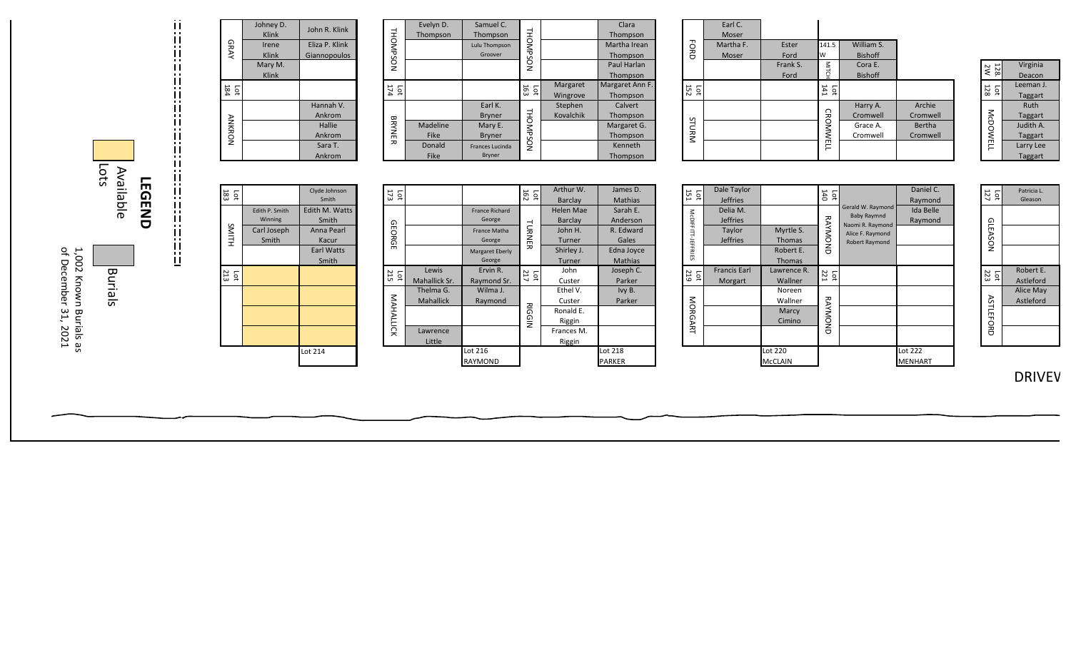

|               | Johney D.<br>Klink | John R. Klink                  |                 | Evelyn D.<br>Thompson |
|---------------|--------------------|--------------------------------|-----------------|-----------------------|
| GRAY          | Irene<br>Klink     | Eliza P. Klink<br>Giannopoulos | <b>THOMPSON</b> |                       |
|               | Mary M.<br>Klink   |                                |                 |                       |
| $\frac{1}{3}$ |                    |                                | 174<br>Lot      |                       |
|               |                    | Hannah V.<br>Ankrom            |                 |                       |
| <b>ANKRON</b> |                    | Hallie<br>Ankrom               | <b>BRYNER</b>   | Madeline<br>Fike      |
|               |                    | Sara T.<br>Ankrom              |                 | Donald<br>Fike        |

Edith P. Smith Winning

Carl Joseph Smith

Clyde Johnson Smith

Edith M. Watts Smith

> Anna Pearl Kacur

Earl Watts Smith

Lot 214

183 Lot

SMITH

213 Lot

|            | Evelyn D. | Samuel C.            |                 |           | Clara           |
|------------|-----------|----------------------|-----------------|-----------|-----------------|
|            | Thompson  | Thompson             |                 |           | Thompson        |
|            |           | <b>Lulu Thompson</b> |                 |           | Martha Irean    |
|            |           | Groover              |                 |           | Thompson        |
| THOMPSON   |           |                      | <b>THOMPSON</b> |           | Paul Harlan     |
|            |           |                      |                 |           | Thompson        |
| 174<br>Lot |           |                      | 163<br>Гat      | Margaret  | Margaret Ann F. |
|            |           |                      |                 | Wingrove  | Thompson        |
|            |           | Earl K.              |                 | Stephen   | Calvert         |
|            |           | <b>Bryner</b>        |                 | Kovalchik | Thompson        |
|            | Madeline  | Mary E.              |                 |           | Margaret G.     |
| BRYNER     | Fike      | <b>Bryner</b>        |                 |           | Thompson        |
|            | Donald    | Frances Lucinda      | <b>THOMPSON</b> |           | Kenneth         |
|            | Fike      | <b>Bryner</b>        |                 |           | Thompson        |

|  | 173<br>Ìо        |                  |                       | $rac{1}{162}$     | Arthur W.  | James D.       |
|--|------------------|------------------|-----------------------|-------------------|------------|----------------|
|  |                  |                  |                       |                   | Barclay    | <b>Mathias</b> |
|  |                  |                  | <b>France Richard</b> |                   | Helen Mae  | Sarah E.       |
|  |                  |                  | George                |                   | Barclay    | Anderson       |
|  | GEORGE           |                  | <b>France Matha</b>   | <b>LURNER</b>     | John H.    | R. Edward      |
|  |                  |                  | George                |                   | Turner     | Gales          |
|  |                  |                  | Margaret Eberly       |                   | Shirley J. | Edna Joyce     |
|  |                  |                  | George                |                   | Turner     | <b>Mathias</b> |
|  | 10t              | Lewis            | Ervin R.              | Lot $\frac{1}{2}$ | John       | Joseph C.      |
|  |                  | Mahallick Sr.    | Raymond Sr.           |                   | Custer     | Parker         |
|  |                  | Thelma G.        | Wilma J.              |                   | Ethel V.   | Ivy B.         |
|  |                  | <b>Mahallick</b> | Raymond               |                   | Custer     | Parker         |
|  | <b>MAHALLICK</b> |                  |                       | <b>RIGGIN</b>     | Ronald E.  |                |
|  |                  |                  |                       |                   | Riggin     |                |
|  |                  | Lawrence         |                       |                   | Frances M. |                |
|  |                  | Little           |                       |                   | Riggin     |                |
|  |                  |                  | Lot 216               |                   |            | Lot 218        |
|  |                  |                  | RAYMOND               |                   |            | <b>PARKER</b>  |

|           | Earl C.<br>Moser |          |                 |                |          |
|-----------|------------------|----------|-----------------|----------------|----------|
| Бокр      | Martha F.        | Ester    | 141.5           | William S.     |          |
|           | Moser            | Ford     | W               | <b>Bishoff</b> |          |
|           |                  | Frank S. | <b>MITCH</b>    | Cora E.        |          |
|           |                  | Ford     |                 | <b>Bishoff</b> |          |
| 152<br>Ìб |                  |          | 141<br>Lot      |                |          |
|           |                  |          |                 | Harry A.       | Archie   |
|           |                  |          |                 | Cromwell       | Cromwell |
| STURM     |                  |          |                 | Grace A.       | Bertha   |
|           |                  |          |                 | Cromwell       | Cromwell |
|           |                  |          | <b>CROMWELL</b> |                |          |

| 128<br>2W       | Virginia       |
|-----------------|----------------|
|                 | Deacon         |
| 128             | Leeman J.      |
| <b>p</b>        | Taggart        |
|                 | Ruth           |
|                 | <b>Taggart</b> |
| <b>McDOWELI</b> | Judith A.      |
|                 | <b>Taggart</b> |
|                 | Larry Lee      |
|                 | <b>Taggart</b> |

| 151<br>pс          | Dale Taylor<br><b>Jeffries</b> |                            | 140<br>140            |                                                             | Daniel C.<br>Raymond        |
|--------------------|--------------------------------|----------------------------|-----------------------|-------------------------------------------------------------|-----------------------------|
|                    | Delia M.<br><b>Jeffries</b>    |                            |                       | Gerald W. Raymond<br><b>Baby Raymnd</b><br>Naomi R. Raymond | <b>Ida Belle</b><br>Raymond |
| McDIFFITT-JEFFRIES | Taylor<br><b>Jeffries</b>      | Myrtle S.<br><b>Thomas</b> | RAYMOND               | Alice F. Raymond<br><b>Robert Raymond</b>                   |                             |
|                    |                                | Robert E.<br><b>Thomas</b> |                       |                                                             |                             |
| 219<br>Гot         | <b>Francis Earl</b><br>Morgart | Lawrence R.<br>Wallner     | 221<br>$\overline{p}$ |                                                             |                             |
|                    |                                | Noreen<br>Wallner          |                       |                                                             |                             |
| MORGART            |                                | Marcy<br>Cimino            | RAYMOND               |                                                             |                             |
|                    |                                |                            |                       |                                                             |                             |
|                    |                                | Lot 220<br>McCLAIN         |                       |                                                             | Lot 222<br>MENHART          |

| McDOWELL         | <b>Taggart</b><br>Judith A.<br>Taggart<br>Larry Lee<br>Taggart |
|------------------|----------------------------------------------------------------|
| 127<br>ĒС        | Patricia L.<br>Gleason                                         |
| GLEASON          |                                                                |
| 223<br><b>P</b>  | Robert E.<br>Astleford                                         |
| <b>ASTLEFORD</b> | <b>Alice May</b><br>Astleford                                  |

DRIVEV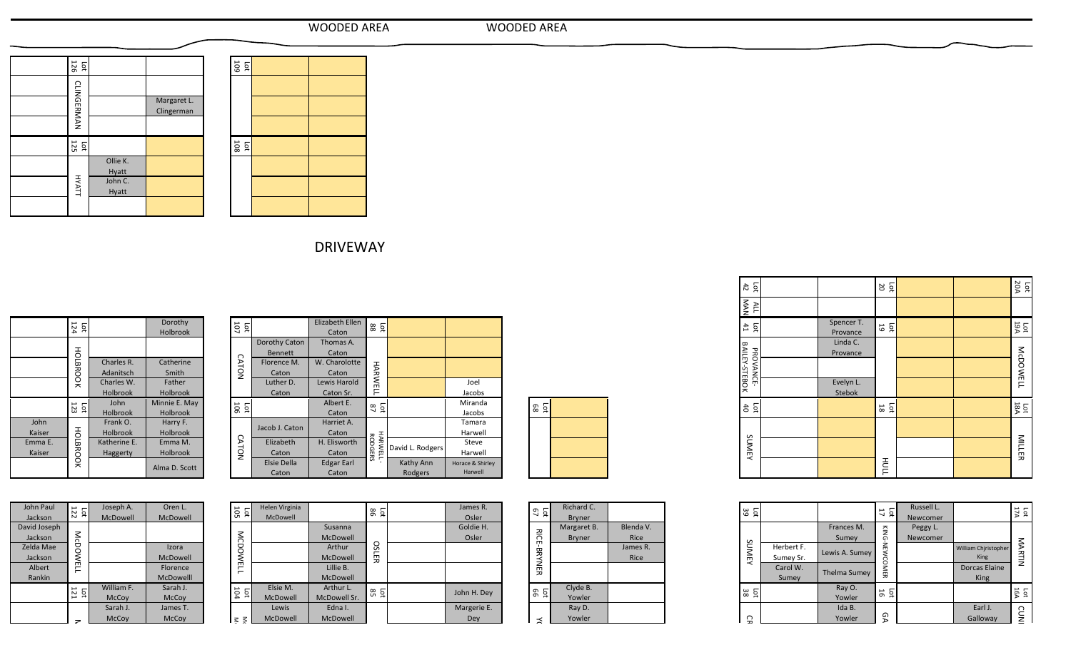| WOODED AREA | <b>WOODED AREA</b> |
|-------------|--------------------|
|             |                    |

| WOODED ARE |  |
|------------|--|
|------------|--|

| $rac{1}{126}$     |                   |                           |
|-------------------|-------------------|---------------------------|
|                   |                   |                           |
| <b>CLINGERMAN</b> |                   | Margaret L.<br>Clingerman |
|                   |                   |                           |
| $\frac{1}{12}$    |                   |                           |
|                   | Ollie K.<br>Hyatt |                           |
| <b>HYATT</b>      | John C.<br>Hyatt  |                           |
|                   |                   |                           |

| $\frac{60}{10}$   |  |  |
|-------------------|--|--|
|                   |  |  |
|                   |  |  |
|                   |  |  |
| $\frac{100}{100}$ |  |  |
|                   |  |  |
|                   |  |  |
|                   |  |  |

DRIVEWAY

|              |                 |                 | Dorothy         |
|--------------|-----------------|-----------------|-----------------|
|              | Lot<br>$124$    |                 | Holbrook        |
|              |                 |                 |                 |
|              |                 |                 |                 |
|              | HOLBROOK        | Charles R.      | Catherine       |
|              |                 | Adanitsch       | Smith           |
|              |                 | Charles W.      | Father          |
|              |                 | Holbrook        | Holbrook        |
|              | $\frac{1}{2}$   | John            | Minnie E. May   |
|              |                 | Holbrook        | <b>Holbrook</b> |
| John         |                 | Frank O.        | Harry F.        |
| Kaiser       |                 | Holbrook        | Holbrook        |
| Emma E.      |                 | Katherine E.    | Emma M.         |
| Kaiser       |                 | Haggerty        | Holbrook        |
|              | HOLBROOK        |                 | Alma D. Scott   |
|              |                 |                 |                 |
| John Paul    |                 | Joseph A.       | Oren L.         |
| Jackson      | $\frac{1}{12}$  | <b>McDowell</b> | <b>McDowell</b> |
| David Joseph |                 |                 |                 |
| Jackson      | <b>McDOWELL</b> |                 |                 |
| Zelda Mae    |                 |                 | Izora           |
| Jackson      |                 |                 | <b>McDowell</b> |
| Albert       |                 |                 | Florence        |

| Dorothy<br><b>Holbrook</b> | 107<br>$\overline{\mathsf{c}}$ |                | Elizabeth Ellen<br>Caton | $\overline{\mathsf{q}}$<br>88    |                  |                  |
|----------------------------|--------------------------------|----------------|--------------------------|----------------------------------|------------------|------------------|
|                            |                                | Dorothy Caton  | Thomas A.                |                                  |                  |                  |
|                            |                                | <b>Bennett</b> | Caton                    |                                  |                  |                  |
| Catherine                  | <b>CATON</b>                   | Florence M.    | W. Charolotte            |                                  |                  |                  |
| Smith                      |                                | Caton          | Caton                    |                                  |                  |                  |
| Father                     |                                | Luther D.      | Lewis Harold             | <b>HARWELL</b>                   |                  | Joel             |
| <b>Holbrook</b>            |                                | Caton          | Caton Sr.                |                                  |                  | Jacobs           |
| Minnie E. May              | La 12                          |                | Albert E.                | Lot<br>$\frac{1}{87}$            |                  | Miranda          |
| Holbrook                   |                                |                | Caton                    |                                  |                  | Jacobs           |
| Harry F.                   |                                | Jacob J. Caton | Harriet A.               |                                  |                  | Tamara           |
| <b>Holbrook</b>            |                                |                | Caton                    |                                  |                  | Harwell          |
| Emma M.                    | <b>CATON</b>                   | Elizabeth      | H. Elisworth             | <b>HARWELL</b><br><b>RODGERS</b> | David L. Rodgers | Steve            |
| Holbrook                   |                                | Caton          | Caton                    |                                  |                  | Harwell          |
| Alma D. Scott              |                                | Elsie Della    | <b>Edgar Earl</b>        |                                  | Kathy Ann        | Horace & Shirley |
|                            |                                | Caton          | Caton                    |                                  | Rodgers          | Harwell          |
|                            |                                |                |                          |                                  |                  |                  |

| Lot<br>88 |  |
|-----------|--|
|           |  |
|           |  |
|           |  |

| John Paul    | $\frac{1}{12}$  | Joseph A.       | Oren L.   |
|--------------|-----------------|-----------------|-----------|
| Jackson      |                 | <b>McDowell</b> | McDowell  |
| David Joseph |                 |                 |           |
| Jackson      |                 |                 |           |
| Zelda Mae    | <b>McDOWELL</b> |                 | Izora     |
| Jackson      |                 |                 | McDowell  |
| Albert       |                 |                 | Florence  |
| Rankin       |                 |                 | McDowelll |
|              | 121             | William F.      | Sarah J.  |
|              | ğ               | McCoy           | McCoy     |
|              |                 | Sarah J.        | James T.  |
|              |                 | McCoy           | McCoy     |
|              |                 |                 |           |
|              |                 |                 |           |
|              |                 |                 |           |

| <b>TON</b>              | Florence ivi.<br>Caton     | W. Charolotte<br>Caton | <b>HARWELL</b>      |                  |                  |
|-------------------------|----------------------------|------------------------|---------------------|------------------|------------------|
|                         | Luther D.                  | Lewis Harold           |                     |                  | Joel             |
|                         | Caton                      | Caton Sr.              |                     |                  | Jacobs           |
| ត្ត ក្នុ                |                            | Albert E.              | $\frac{1}{87}$      |                  | Miranda          |
|                         |                            | Caton                  |                     |                  | Jacobs           |
|                         | Jacob J. Caton             | Harriet A.             |                     |                  | Tamara           |
|                         |                            | Caton                  |                     |                  | Harwell          |
| <b>CATON</b>            | Elizabeth                  | H. Elisworth           |                     | David L. Rodgers | Steve            |
|                         | Caton                      | Caton                  | HARWELL-<br>RODGERS |                  | Harwell          |
|                         | <b>Elsie Della</b>         | <b>Edgar Earl</b>      |                     | Kathy Ann        | Horace & Shirley |
|                         | Caton                      | Caton                  |                     | Rodgers          | Harwell          |
|                         |                            |                        |                     |                  | James R.         |
| ក្នុ<br>វិញ             | Helen Virginia<br>McDowell |                        | ន គ្                |                  | Osler            |
|                         |                            | Susanna                |                     |                  | Goldie H.        |
| <b>MCDOWELL</b>         |                            | <b>McDowell</b>        |                     |                  | Osler            |
|                         |                            | Arthur                 | <b>OSLER</b>        |                  |                  |
|                         |                            | McDowell               |                     |                  |                  |
|                         |                            | Lillie B.              |                     |                  |                  |
|                         |                            | McDowell               |                     |                  |                  |
| Lot<br>$\frac{10}{104}$ | Elsie M.                   | Arthur L.              | ន ក្ន               |                  | John H. Dey      |
|                         | McDowell                   | McDowell Sr.           |                     |                  |                  |
|                         | Lewis                      | Edna I.                |                     |                  | Margerie E.      |
| ξ ≶                     | McDowell                   | McDowell               |                     |                  | Dey              |
|                         |                            |                        |                     |                  |                  |

| ី ក្ន              | Richard C.    |             |
|--------------------|---------------|-------------|
|                    | <b>Bryner</b> |             |
|                    | Margaret B.   | Blenda V.   |
|                    | <b>Bryner</b> | <b>Rice</b> |
|                    |               | James R.    |
|                    |               | <b>Rice</b> |
| <b>RICE-BRYNER</b> |               |             |
|                    | Clyde B.      |             |
|                    |               |             |
| ទី ក្ន             | Yowler        |             |
|                    | Ray D.        |             |
| $\preceq$          | Yowler        |             |
|                    |               |             |
|                    |               |             |

| Lot<br>42                     |                        | 20<br>$\overline{\mathsf{p}}$ |  | <b>20A</b><br>$\overline{\mathtt{q}}$ |
|-------------------------------|------------------------|-------------------------------|--|---------------------------------------|
| <b>NAN</b><br>ALL             |                        |                               |  |                                       |
| $\overline{\mathsf{p}}$<br>41 | Spencer T.<br>Provance | Ĕ<br>19                       |  | <b>La</b>                             |
|                               | Linda C.<br>Provance   |                               |  |                                       |
| BAILEY-STEBOK<br>PROVANCE     |                        |                               |  | <b>McDOWELL</b>                       |
|                               | Evelyn L.<br>Stebok    |                               |  |                                       |
| Lot<br>$\sharp$               |                        | Ъđ<br>$18\,$                  |  | La<br>S                               |
|                               |                        |                               |  |                                       |
| SUMEY                         |                        |                               |  | MILLER                                |
|                               |                        | HULL                          |  |                                       |

| ĔΩ<br>39                      |            |                     | 17<br>$\overline{5}$ | Russell L. |                      | Lot<br>$17A$ |
|-------------------------------|------------|---------------------|----------------------|------------|----------------------|--------------|
|                               |            |                     |                      | Newcomer   |                      |              |
|                               |            | Frances M.          |                      | Peggy L.   |                      |              |
|                               |            | Sumey               |                      | Newcomer   |                      |              |
| SUMEY                         | Herbert F. | Lewis A. Sumey      | KING-NEWCOMER        |            | William Chiristopher | MARTIN       |
|                               | Sumey Sr.  |                     |                      |            | <b>King</b>          |              |
|                               | Carol W.   | <b>Thelma Sumey</b> |                      |            | <b>Dorcas Elaine</b> |              |
|                               | Sumey      |                     |                      |            | <b>King</b>          |              |
| 38<br>$\overline{\mathtt{q}}$ |            | Ray O.              | Ĕф<br>16             |            |                      | Lot<br>16A   |
|                               |            | Yowler              |                      |            |                      |              |
|                               |            | Ida B.              |                      |            | Earl J.              |              |
| 유                             |            | Yowler              | ତ୍ୟ                  |            | Galloway             | cuni         |
|                               |            |                     |                      |            |                      |              |
|                               |            |                     |                      |            |                      |              |
|                               |            |                     |                      |            |                      |              |
|                               |            |                     |                      |            |                      |              |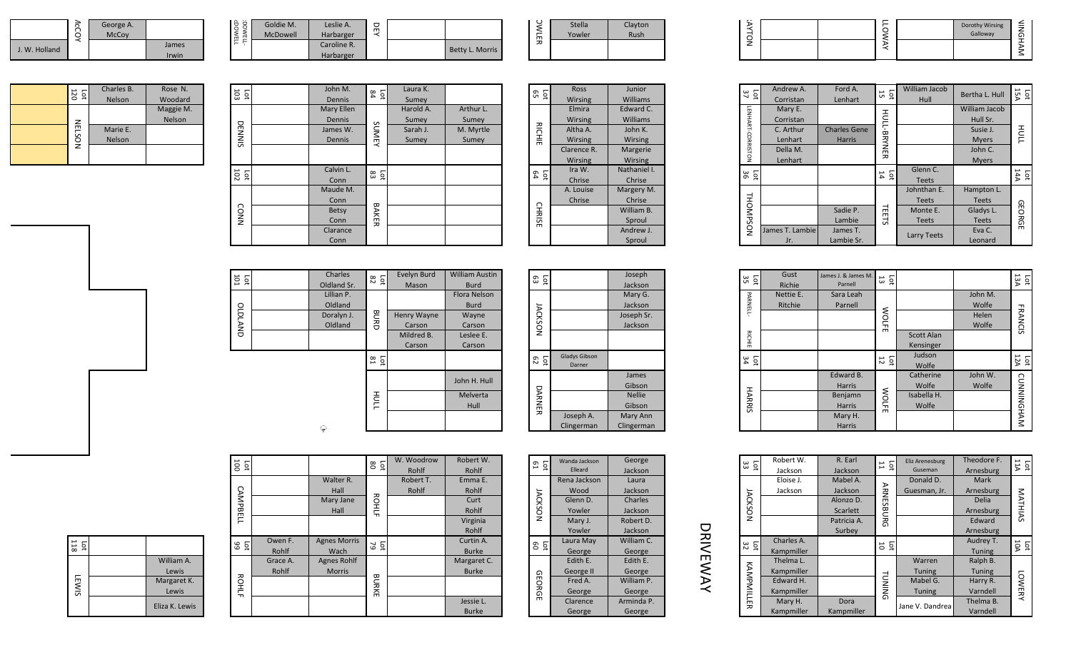|               | ਨੇ | George A.<br><b>McCov</b> |                |  |
|---------------|----|---------------------------|----------------|--|
| J. W. Holland |    |                           | James<br>Irwin |  |

|               | Goldie M. | Leslie A.   | 뮤 |                 |
|---------------|-----------|-------------|---|-----------------|
| <b>DOWELL</b> | McDowell  | Harbarger   |   |                 |
|               |           | Caroline R. |   | Betty L. Morris |
|               |           | Harbarger   |   |                 |

McDOWELL

CDOWELL<br>CDOWELL

| <b>OWLER</b> | Stella | Clayton |
|--------------|--------|---------|
|              | Yowler | Rush    |
|              |        |         |
|              |        |         |

| ~ |  |  |                             |           |
|---|--|--|-----------------------------|-----------|
|   |  |  | Dorothy Wirsing<br>Galloway | $\bar{z}$ |
|   |  |  |                             |           |
|   |  |  |                             |           |
|   |  |  |                             |           |

|  | 120<br>Б      | Charles B.    | Rose N.   |
|--|---------------|---------------|-----------|
|  |               | <b>Nelson</b> | Woodard   |
|  |               |               | Maggie M. |
|  | <b>NELSON</b> |               | Nelson    |
|  |               | Marie E.      |           |
|  |               | <b>Nelson</b> |           |
|  |               |               |           |
|  |               |               |           |

| DOWELL-<br>DOWELL | Goldie M.<br>McDowell | Leslie A.<br>Harbarger<br>Caroline R.<br>Harbarger           | 员                |                                         | Betty L. Morris                          |
|-------------------|-----------------------|--------------------------------------------------------------|------------------|-----------------------------------------|------------------------------------------|
| $\frac{1}{103}$   |                       | John M.<br>Dennis                                            | Lg $\frac{1}{3}$ | Laura K.<br>Sumey                       |                                          |
| <b>DENNIS</b>     |                       | <b>Mary Ellen</b><br>Dennis<br>James W.<br>Dennis            | SUMEY            | Harold A.<br>Sumey<br>Sarah J.<br>Sumey | Arthur L.<br>Sumey<br>M. Myrtle<br>Sumey |
| $\frac{1}{102}$   |                       | Calvin L.<br>Conn                                            | នី និ            |                                         |                                          |
| <b>CONN</b>       |                       | Maude M.<br>Conn<br><b>Betsy</b><br>Conn<br>Clarance<br>Conn | BAKER            |                                         |                                          |

|                | <b>Stella</b>  | Clayton      |
|----------------|----------------|--------------|
| OWLER          | Yowler         | Rush         |
|                |                |              |
|                |                |              |
| ង ក្ន          | Ross           | Junior       |
|                | Wirsing        | Williams     |
|                | Elmira         | Edward C.    |
|                | Wirsing        | Williams     |
| <b>RICHIE</b>  | Altha A.       | John K.      |
|                | <b>Wirsing</b> | Wirsing      |
|                | Clarence R.    | Margerie     |
|                | Wirsing        | Wirsing      |
| La<br>a        | Ira W.         | Nathaniel I. |
|                | Chrise         | Chrise       |
|                | A. Louise      | Margery M.   |
|                | Chrise         | Chrise       |
|                |                | William B.   |
| <b>CHRISE</b>  |                | Sproul       |
|                |                | Andrew J.    |
|                |                | Sproul       |
|                |                |              |
| ង ក្ន          |                | Joseph       |
|                |                | Jackson      |
|                |                | Mary G.      |
|                |                | Jackson      |
| <b>JACKSON</b> |                | Joseph Sr.   |
|                |                | Jackson      |
|                |                |              |

Gibson

Nellie Gibson

Mary Ann Clingerman

| $\frac{1}{37}$    | Andrew A.<br>Corristan | Ford A.<br>Lenhart  | 10 <sub>1</sub>       | <b>William Jacob</b><br>Hull | Bertha L. Hull | Lot<br>15A    |
|-------------------|------------------------|---------------------|-----------------------|------------------------------|----------------|---------------|
|                   | Mary E.                |                     |                       |                              | William Jacob  |               |
|                   | Corristan              |                     |                       |                              | Hull Sr.       |               |
|                   | C. Arthur              | <b>Charles Gene</b> |                       |                              | Susie J.       | HULL<br>L     |
|                   | Lenhart                | <b>Harris</b>       |                       |                              | <b>Myers</b>   |               |
| LENHART-CORRISTON | Della M.               |                     | HOLL-BRYNER           |                              | John C.        |               |
|                   | Lenhart                |                     |                       |                              | <b>Myers</b>   |               |
| 1g %              |                        |                     | Lot<br>$\frac{1}{14}$ | Glenn C.                     |                | 14A           |
|                   |                        |                     |                       | <b>Teets</b>                 |                |               |
|                   |                        |                     |                       | Johnthan E.                  | Hampton L.     |               |
|                   |                        |                     |                       | <b>Teets</b>                 | <b>Teets</b>   |               |
|                   |                        | Sadie P.            | <b>TEETS</b>          | Monte E.                     | Gladys L.      | <b>GEORGE</b> |
|                   |                        | Lambie              |                       | <b>Teets</b>                 | <b>Teets</b>   |               |
| THOMPSON          | James T. Lambie        | James T.            |                       | Larry Teets                  | Eva C.         |               |
|                   | Jr.                    | Lambie Sr.          |                       |                              | Leonard        |               |

| DNPSON                           | James T. Lambie<br>Jr. | Sadie P.<br>Lambie<br>James T.<br>Lambie Sr.                         | TEETS                | Monte E.<br><b>Teets</b><br>Larry Teets    | Gladys L.<br><b>Teets</b><br>Eva C.<br>Leonard | <b>EORGE</b>   |
|----------------------------------|------------------------|----------------------------------------------------------------------|----------------------|--------------------------------------------|------------------------------------------------|----------------|
| ន និ                             | Gust<br>Richie         | James J. & James M.<br>Parnell                                       | 13<br>$\overline{5}$ |                                            |                                                | Lot<br>13A     |
| <b>PARNELL-</b><br><b>RICHIE</b> | Nettie E.<br>Ritchie   | Sara Leah<br>Parnell                                                 | <b>WOLFE</b>         | <b>Scott Alan</b><br>Kensinger             | John M.<br>Wolfe<br>Helen<br>Wolfe             | <b>FRANCIS</b> |
| និ ភ្ន                           |                        |                                                                      | $\frac{1}{2}$        | Judson<br>Wolfe                            |                                                | Lot<br>$12A$   |
| <b>HARRIS</b>                    |                        | Edward B.<br><b>Harris</b><br>Benjamn<br>Harris<br>Mary H.<br>Harris | <b>WOLFE</b>         | Catherine<br>Wolfe<br>Isabella H.<br>Wolfe | John W.<br>Wolfe                               | CUNNINGHAM     |

| <b>NOTYA</b>      |                                                                             |                                                                       | <b>TOWAY</b>                  |                                                                         | Dorothy Wirsing<br>Galloway                                                      | NINGHAM                |
|-------------------|-----------------------------------------------------------------------------|-----------------------------------------------------------------------|-------------------------------|-------------------------------------------------------------------------|----------------------------------------------------------------------------------|------------------------|
|                   |                                                                             |                                                                       |                               |                                                                         |                                                                                  |                        |
|                   |                                                                             |                                                                       |                               |                                                                         |                                                                                  |                        |
| នៃ<br>ភ           | Andrew A.<br>Corristan                                                      | Ford A.<br>Lenhart                                                    | ដ ជ                           | William Jacob<br>Hull                                                   | Bertha L. Hull                                                                   | Lat<br>15              |
| LENHART-CORRISTON | Mary E.<br>Corristan<br>C. Arthur<br>Lenhart<br>Della M.<br>Lenhart         | <b>Charles Gene</b><br>Harris                                         | HULL-BAYNER                   |                                                                         | William Jacob<br>Hull Sr.<br>Susie J.<br><b>Myers</b><br>John C.<br><b>Myers</b> | HULL                   |
| ន ឆ្ន             |                                                                             |                                                                       | ដ ក្ន                         | Glenn C.<br><b>Teets</b>                                                |                                                                                  | Lot<br>14A             |
| <b>THOMPSON</b>   | James T. Lambie<br>Jr.                                                      | Sadie P.<br>Lambie<br>James T.<br>Lambie Sr.                          | <b>TEETS</b>                  | Johnthan E.<br><b>Teets</b><br>Monte E.<br><b>Teets</b><br>Larry Teets  | Hampton L.<br><b>Teets</b><br>Gladys L.<br><b>Teets</b><br>Eva C.<br>Leonard     | GEORGE                 |
|                   |                                                                             |                                                                       |                               |                                                                         |                                                                                  |                        |
| ក្នុ<br>រី        | Gust<br>Richie                                                              | James J. & James M.<br>Parnell                                        | ដ ឆ្ន                         |                                                                         |                                                                                  | $\frac{1}{13A}$        |
| PARNELL-          | Nettie E.<br>Ritchie                                                        | Sara Leah<br>Parnell                                                  | <b>WOLFE</b>                  |                                                                         | John M.<br>Wolfe<br>Helen                                                        | <b>FRANCIS</b>         |
| <b>RICHIE</b>     |                                                                             |                                                                       |                               | Scott Alan<br>Kensinger                                                 | Wolfe                                                                            |                        |
| នៃ ង              |                                                                             |                                                                       | ដ ជ                           | Judson<br>Wolfe                                                         |                                                                                  | Lot<br>$\frac{1}{12A}$ |
| <b>HARRIS</b>     |                                                                             | Edward B.<br>Harris<br>Benjamn<br>Harris<br>Mary H.<br><b>Harris</b>  | <b>WOLFE</b>                  | Catherine<br>Wolfe<br>Isabella H.<br>Wolfe                              | John W.<br>Wolfe                                                                 | CUNNINGHAM             |
|                   |                                                                             |                                                                       |                               |                                                                         |                                                                                  |                        |
| នី ភ្ល            | Robert W.<br>Jackson                                                        | R. Earl<br>Jackson                                                    | 11<br>$\overline{\mathsf{p}}$ | Eliz Arenesburg<br>Guseman                                              | Theodore F.<br>Arnesburg                                                         | 11A<br>Ìо              |
| <b>NOSXOVI</b>    | Eloise J.<br>Jackson                                                        | Mabel A.<br>Jackson<br>Alonzo D.<br>Scarlett<br>Patricia A.<br>Surbey | <b>ARNESBURG</b>              | Donald D.<br>Guesman, Jr.                                               | Mark<br>Arnesburg<br>Delia<br>Arnesburg<br>Edward<br>Arnesburg                   | <b>MATHIAS</b>         |
| នៃ 2              | Charles A.<br>Kampmiller                                                    |                                                                       | ដ គ្                          |                                                                         | Audrey T.<br>Tuning                                                              | lot<br>10A             |
| KAMPMILLER        | Thelma L.<br>Kampmiller<br>Edward H.<br>Kampmiller<br>Mary H.<br>Kampmiller | Dora<br>Kampmiller                                                    | <b>TUNING</b>                 | Warren<br><b>Tuning</b><br>Mabel G.<br><b>Tuning</b><br>Jane V. Dandrea | Ralph B.<br>Tuning<br>Harry R.<br>Varndell<br>Thelma B.<br>Varndell              | <b>LOWERY</b>          |
|                   |                                                                             |                                                                       |                               |                                                                         |                                                                                  |                        |

| 101<br>Ъđ | Charles     | $\frac{5}{2}$             | Evelyn Burd | <b>William Austin</b> | Ìо<br>ස        |                      | Joseph        |
|-----------|-------------|---------------------------|-------------|-----------------------|----------------|----------------------|---------------|
|           | Oldland Sr. |                           | Mason       | <b>Burd</b>           |                |                      | Jackson       |
|           | Lillian P.  |                           |             | <b>Flora Nelson</b>   |                |                      | Mary G        |
|           | Oldland     |                           |             | <b>Burd</b>           |                |                      | Jackson       |
|           | Doralyn J.  |                           | Henry Wayne | Wayne                 |                |                      | Joseph S      |
| OLDLAND   | Oldland     | <b>BURD</b>               | Carson      | Carson                | <b>JACKSON</b> |                      | Jackson       |
|           |             |                           | Mildred B.  | Leslee E.             |                |                      |               |
|           |             |                           | Carson      | Carson                |                |                      |               |
|           |             |                           |             |                       |                | <b>Gladys Gibson</b> |               |
|           |             | $\overline{5}$<br>$^{52}$ |             |                       | Lot<br>0       | Darner               |               |
|           |             |                           |             |                       |                |                      | James         |
|           |             |                           |             | John H. Hull          |                |                      | Gibson        |
|           |             |                           |             | Melverta              |                |                      | <b>Nellie</b> |
|           |             | <b>HULL</b>               |             | Hull                  | DARNER         |                      | Gibson        |
|           |             |                           |             |                       |                | Joseph A.            | Mary An       |
|           |             |                           |             |                       |                | Clingerman           | Clingerma     |
|           | ₽           |                           |             |                       |                |                      |               |

|                | 100<br>Lot     |          |                     | ន ក្ន     | W. Woodrow | Robert W.    |
|----------------|----------------|----------|---------------------|-----------|------------|--------------|
|                |                |          |                     |           | Rohlf      | Rohlf        |
|                |                |          | Walter R.           |           | Robert T.  | Emma E.      |
|                |                |          | Hall                |           | Rohlf      | Rohlf        |
|                | CAMPBELL       |          | Mary Jane           | ROHLF     |            | Curt         |
|                |                |          | Hall                |           |            | Rohlf        |
|                |                |          |                     |           |            | Virginia     |
|                |                |          |                     |           |            | Rohlf        |
|                | <b>b</b><br>99 | Owen F.  | <b>Agnes Morris</b> | <b>25</b> |            | Curtin A.    |
|                |                | Rohlf    | Wach                |           |            | <b>Burke</b> |
| William A.     |                | Grace A. | Agnes Rohlf         |           |            | Margaret C.  |
| Lewis          |                | Rohlf    | <b>Morris</b>       |           |            | <b>Burke</b> |
| Margaret K.    | <b>ROHLF</b>   |          |                     | BURKE     |            |              |
| Lewis          |                |          |                     |           |            |              |
| Eliza K. Lewis |                |          |                     |           |            | Jessie L.    |
|                |                |          |                     |           |            | <b>Burke</b> |

| Б<br>5J        | Wanda Jackson | George     |
|----------------|---------------|------------|
|                | Elleard       | Jackson    |
|                | Rena Jackson  | Laura      |
|                | Wood          | Jackson    |
| <b>IACKSON</b> | Glenn D.      | Charles    |
|                | Yowler        | Jackson    |
|                | Mary J.       | Robert D.  |
|                | Yowler        | Jackson    |
| ខ ត្ន          | Laura May     | William C. |
|                | George        | George     |
|                | Edith E.      | Edith E.   |
|                | George II     | George     |
| <b>GEORGE</b>  | Fred A.       | William P. |
|                | George        | George     |
|                | Clarence      | Arminda P. |
|                | George        | George     |

| I      |
|--------|
|        |
| г<br>ı |
|        |
| r      |

Kampmiller

|  | ᆸ<br>5<br>.<br>œ |                |
|--|------------------|----------------|
|  |                  | William A.     |
|  |                  | Lewis          |
|  |                  | Margaret K.    |
|  | <b>LEWIS</b>     | Lewis          |
|  |                  | Eliza K. Lewis |
|  |                  |                |

| $\overline{5}$<br>í |  |  |  |
|---------------------|--|--|--|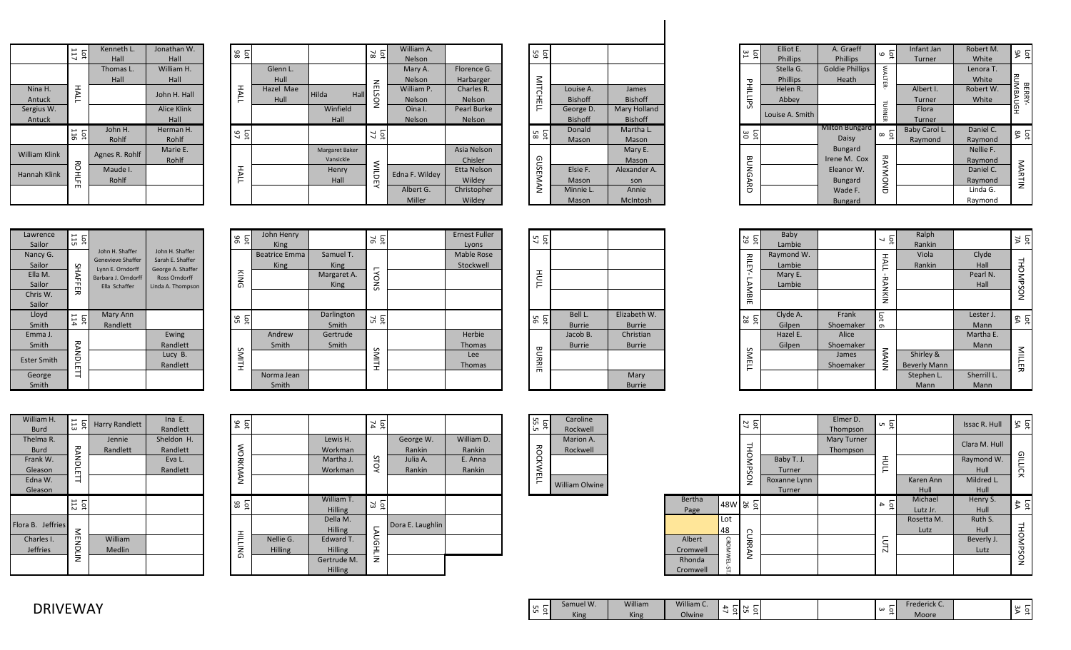|                      | 117<br>Ìоt    | Kenneth L.<br>Hall | Jonathan W.<br>Hall        | Ìоt<br>86             |                   |
|----------------------|---------------|--------------------|----------------------------|-----------------------|-------------------|
|                      |               | Thomas L.<br>Hall  | William H.<br>Hall         |                       | Glenn L.<br>Hull  |
| Nina H.<br>Antuck    | HALL          |                    | John H. Hall               | HALL                  | Hazel Mae<br>Hull |
| Sergius W.<br>Antuck |               |                    | <b>Alice Klink</b><br>Hall |                       |                   |
|                      | 116<br>Lot    | John H.<br>Rohlf   | Herman H.<br>Rohlf         | Lot<br>$\overline{5}$ |                   |
| <b>William Klink</b> |               | Agnes R. Rohlf     | Marie E.<br>Rohlf          |                       |                   |
| Hannah Klink         | <b>ROHLFE</b> | Maude I.<br>Rohlf  |                            | HALL                  |                   |
|                      |               |                    |                            |                       |                   |

| La 8      |           |                       | <b>p</b><br>$\overline{18}$ | William A.     |                    |
|-----------|-----------|-----------------------|-----------------------------|----------------|--------------------|
|           |           |                       |                             | <b>Nelson</b>  |                    |
|           | Glenn L.  |                       |                             | Mary A.        | Florence G.        |
|           | Hull      |                       |                             | Nelson         | Harbarger          |
| HALL      | Hazel Mae | Hilda<br>Hall         | <b>NELSON</b>               | William P.     | Charles R.         |
|           | Hull      |                       |                             | Nelson         | Nelson             |
|           |           | Winfield              |                             | Oina I.        | <b>Pearl Burke</b> |
|           |           | Hall                  |                             | Nelson         | <b>Nelson</b>      |
| Let<br>97 |           |                       | <b>p</b><br>77              |                |                    |
|           |           |                       |                             |                |                    |
|           |           | <b>Margaret Baker</b> |                             |                | Asia Nelson        |
|           |           | Vansickle             |                             |                | Chisler            |
| HALL      |           | Henry                 |                             | Edna F. Wildey | <b>Etta Nelson</b> |
|           |           | Hall                  | <b>WILDEY</b>               |                | Wildey             |
|           |           |                       |                             | Albert G.      | Christopher        |
|           |           |                       |                             | Miller         | Wildey             |

| ទី ១            |                |                     |  |  |
|-----------------|----------------|---------------------|--|--|
|                 |                |                     |  |  |
|                 | Louise A.      | James               |  |  |
| <b>MITCHELL</b> | <b>Bishoff</b> | <b>Bishoff</b>      |  |  |
|                 | George D.      | <b>Mary Holland</b> |  |  |
|                 | <b>Bishoff</b> | <b>Bishoff</b>      |  |  |
| ន ក្ន           | Donald         | Martha L.           |  |  |
|                 | Mason          | Mason               |  |  |
|                 |                | Mary E.             |  |  |
|                 |                | Mason               |  |  |
| GUSEMAN         | Elsie F.       | Alexander A.        |  |  |
|                 | Mason          | son                 |  |  |
|                 | Minnie L.      | Annie               |  |  |
|                 | Mason          | McIntosh            |  |  |

|                              | $\frac{1}{3}$        | Elliot E.<br><b>Phillips</b> | A. Graeff<br>Phillips           | $\overline{5}$<br>$\circ$  | Infant Jan                 | Robert M.<br>White   | Lot                      |
|------------------------------|----------------------|------------------------------|---------------------------------|----------------------------|----------------------------|----------------------|--------------------------|
|                              |                      | Stella G.<br><b>Phillips</b> | <b>Goldie Phillips</b><br>Heath | <b>WALTER</b>              | <b>Turner</b>              | Lenora T.<br>White   |                          |
| James<br><b>Bishoff</b>      | PHILIPS              | Helen R.<br>Abbey            |                                 |                            | Albert I.<br><b>Turner</b> | Robert W.<br>White   | RUMBAUGH<br><b>BERRY</b> |
| ry Holland<br><b>Bishoff</b> |                      | Louise A. Smith              |                                 | TURN<br>띩                  | Flora<br><b>Turner</b>     |                      |                          |
| lartha L.<br>Mason           | $\overline{5}$<br>30 |                              | <b>Milton Bungard</b><br>Daisy  | $\overline{5}$<br>$\infty$ | Baby Carol L.<br>Raymond   | Daniel C.<br>Raymond | La<br>&                  |
| Mary E.<br>Mason             |                      |                              | <b>Bungard</b><br>Irene M. Cox  |                            |                            | Nellie F.<br>Raymond |                          |
| xander A.<br>son             | <b>BUNGARD</b>       |                              | Eleanor W.<br><b>Bungard</b>    | <b>RAYMOND</b>             |                            | Daniel C.<br>Raymond | NARTIN                   |
| Annie<br>1cIntosh            |                      |                              | Wade F.<br><b>Bungard</b>       |                            |                            | Linda G.<br>Raymond  |                          |

| Lawrence<br>Sailor | lst<br>11 |                                      |                                     |
|--------------------|-----------|--------------------------------------|-------------------------------------|
| Nancy G.           |           | John H. Shaffer<br>Genevieve Shaffer | John H. Shaffer<br>Sarah E. Shaffer |
| Sailor             |           | Lynn E. Orndorff                     | George A. Shaffer                   |
| Ella M.            |           | Barbara J. Orndorff                  | <b>Ross Orndorff</b>                |
| Sailor             | SHAFFER   | Ella Schaffer                        | Linda A. Thompson                   |
| Chris W.           |           |                                      |                                     |
| Sailor             |           |                                      |                                     |
| Lloyd              | La t      | Mary Ann                             |                                     |
| Smith              |           | Randlett                             |                                     |
| Emma J.            |           |                                      | Ewing                               |
| Smith              |           |                                      | Randlett                            |
|                    |           |                                      | Lucy B.                             |
|                    |           |                                      |                                     |
| <b>Ester Smith</b> |           |                                      | Randlett                            |
| George             | RANDLET   |                                      |                                     |

| 96<br><b>b</b> | John Henry<br><b>King</b>           |                            | ĒС<br>76     | <b>Ernest Fuller</b><br>Lyons  |
|----------------|-------------------------------------|----------------------------|--------------|--------------------------------|
|                | <b>Beatrice Emma</b><br><b>King</b> | Samuel T.<br><b>King</b>   |              | <b>Mable Rose</b><br>Stockwell |
| KING           |                                     | Margaret A.<br><b>King</b> | <b>LYONS</b> |                                |
|                |                                     |                            |              |                                |
| ង ១            |                                     | Darlington<br>Smith        | 75<br>Ĕф     |                                |
|                | Andrew                              | Gertrude                   |              | Herbie                         |
|                | Smith                               | Smith                      |              | Thomas                         |
| SMITH          |                                     |                            | SMITH        | Lee                            |
|                |                                     |                            |              | <b>Thomas</b>                  |
|                | Norma Jean<br>Smith                 |                            |              |                                |

| Lat<br>57       |               |               |
|-----------------|---------------|---------------|
|                 |               |               |
| HULL            |               |               |
|                 |               |               |
| <b>Dd</b><br>56 | Bell L.       | Elizabeth W.  |
|                 | <b>Burrie</b> | <b>Burrie</b> |
|                 | Jacob B.      | Christian     |
|                 | <b>Burrie</b> | <b>Burrie</b> |
| <b>BURRIE</b>   |               |               |
|                 |               | Mary          |
|                 |               | <b>Burrie</b> |

| PHILIPS<br>ន ឆ្ន          | Phillips<br>Helen R.<br>Abbey<br>Louise A. Smith    | Heath<br><b>Milton Bungard</b><br>Daisy                                                     | LTER-<br><b>TURNER</b><br>$\overline{5}$<br>$\infty$ | Albert I.<br>Turner<br>Flora<br>Turner<br>Baby Carol L.<br>Raymond | White<br>Robert W.<br>White<br>Daniel C.<br>Raymond                 | RUMBAUGH<br>BERRY-<br>84<br>$\overline{5}$ |
|---------------------------|-----------------------------------------------------|---------------------------------------------------------------------------------------------|------------------------------------------------------|--------------------------------------------------------------------|---------------------------------------------------------------------|--------------------------------------------|
| <b>BUNGARD</b>            |                                                     | <b>Bungard</b><br>Irene M. Cox<br>Eleanor W.<br><b>Bungard</b><br>Wade F.<br><b>Bungard</b> | <b>RAYMOND</b>                                       |                                                                    | Nellie F.<br>Raymond<br>Daniel C.<br>Raymond<br>Linda G.<br>Raymond | MARTIN                                     |
| ន ន                       | Baby                                                |                                                                                             | $\frac{1}{2}$                                        | Ralph                                                              |                                                                     | λ<br><b>p</b>                              |
| <b>RILEY-LAMBIE</b>       | Lambie<br>Raymond W.<br>Lambie<br>Mary E.<br>Lambie |                                                                                             | HALL-RANKIN                                          | Rankin<br>Viola<br>Rankin                                          | Clyde<br>Hall<br>Pearl N.<br>Hall                                   | THOMPSON                                   |
| $\frac{1}{2}$             | Clyde A.<br>Gilpen                                  | Frank<br>Shoemaker                                                                          | Lot<br>$\sigma$                                      |                                                                    | Lester J.<br>Mann                                                   | La &                                       |
| SMELL                     | Hazel E.<br>Gilpen                                  | Alice<br>Shoemaker<br>James<br>Shoemaker                                                    | MANA                                                 | Shirley &<br><b>Beverly Mann</b><br>Stephen L.<br>Mann             | Martha E.<br>Mann<br>Sherrill L.<br>Mann                            | MILLER                                     |
|                           |                                                     | Elmer D.                                                                                    |                                                      |                                                                    |                                                                     |                                            |
| $\frac{1}{27}$<br>THOMPSC | Baby T. J.<br>Turner                                | Thompson<br>Mary Turner<br>Thompson                                                         | ო ნ<br>HULL                                          |                                                                    | Issac R. Hull<br>Clara M. Hull<br>Raymond W.<br>Hull                | λÃ<br>$\overline{5}$<br>GILLICK            |

| Smith                                                      |                 |                       | Randlett                                     |                | Smith                       | Smith                                                                                     |
|------------------------------------------------------------|-----------------|-----------------------|----------------------------------------------|----------------|-----------------------------|-------------------------------------------------------------------------------------------|
| <b>Ester Smith</b>                                         | RANDLETT        |                       | Lucy B.<br>Randlett                          | SMITH          |                             |                                                                                           |
| George<br>Smith                                            |                 |                       |                                              |                | Norma Jean<br>Smith         |                                                                                           |
|                                                            |                 |                       |                                              |                |                             |                                                                                           |
| William H.<br><b>Burd</b>                                  | $\frac{1}{11}$  | <b>Harry Randlett</b> | Ina $E$ .<br>Randlett                        | Lot<br>94      |                             |                                                                                           |
| Thelma R.<br><b>Burd</b><br>Frank W.<br>Gleason<br>Edna W. | RANDLETT        | Jennie<br>Randlett    | Sheldon H.<br>Randlett<br>Eva L.<br>Randlett | WORKMAN        |                             | Lewis H.<br>Workman<br>Martha J.<br>Workman                                               |
| Gleason                                                    | $\frac{1}{112}$ |                       |                                              | ង ន            |                             | William T.<br><b>Hilling</b>                                                              |
| Flora B. Jeffries<br>Charles I.<br><b>Jeffries</b>         | NENDLIN         | William<br>Medlin     |                                              | <b>HILLING</b> | Nellie G.<br><b>Hilling</b> | Della M.<br><b>Hilling</b><br>Edward T.<br><b>Hilling</b><br>Gertrude N<br><b>Hilling</b> |
| <b>DRIVEWAY</b>                                            |                 |                       |                                              |                |                             |                                                                                           |

| Villiam H.<br>Burd | $\overline{z}$ is | Harry Randlett | Ina $E$ .<br>Randlett | $\frac{1}{2}$ $\frac{9}{4}$ |                |                | $\frac{5}{4}$  |                  |            | Lot<br>55.5              | Caroline<br>Rockwell  |          |             | $\frac{1}{27}$                  |              |
|--------------------|-------------------|----------------|-----------------------|-----------------------------|----------------|----------------|----------------|------------------|------------|--------------------------|-----------------------|----------|-------------|---------------------------------|--------------|
| helma R.           |                   | Jennie         | Sheldon H.            |                             |                | Lewis H.       |                | George W.        | William D. |                          | Marion A.             |          |             |                                 |              |
| Burd               | 콗                 | Randlett       | Randlett              | <b>NOR</b>                  |                | Workman        |                | Rankin           | Rankin     | ð                        | Rockwell              |          |             |                                 |              |
| Frank W.           | z<br>ヮ            |                | Eva L.                | ᄎ                           |                | Martha J.      | S              | Julia A.         | E. Anna    | $\overline{\phantom{1}}$ |                       |          |             | ⇁                               | Baby T. J.   |
| Gleason            |                   |                | Randlett              | ⋝                           |                | Workman        |                | Rankin           | Rankin     |                          |                       |          |             | ᇃ<br>$\mathcal{L}$              | Turner       |
| Edna W.            |                   |                |                       | NAN                         |                |                |                |                  |            | m<br>Ë                   |                       |          |             | $\frac{1}{2}$                   | Roxanne Lynn |
| Gleason            |                   |                |                       |                             |                |                |                |                  |            |                          | <b>William Olwine</b> |          |             |                                 | Turner       |
|                    | Lot $112$         |                |                       | $\frac{5}{2}$               |                | William T.     | ្ល ក្ន         |                  |            |                          |                       | Bertha   |             | $ 48W $ $\approx$ $\frac{5}{9}$ |              |
|                    |                   |                |                       |                             |                | Hilling        |                |                  |            |                          |                       | Page     |             |                                 |              |
| a B. Jeffries      |                   |                |                       |                             |                | Della M.       |                | Dora E. Laughlin |            |                          |                       |          | Lot         |                                 |              |
|                    | $\leq$            |                |                       |                             |                | Hilling        | $\overline{ }$ |                  |            |                          |                       |          | 48          | ∩                               |              |
| Charles I.         | E                 | William        |                       | 言                           | Nellie G.      | Edward T.      | 5G             |                  |            |                          |                       | Albert   |             |                                 |              |
| Jeffries           | U<br>÷            | Medlin         |                       | iNG                         | <b>Hilling</b> | <b>Hilling</b> | $\overline{ }$ |                  |            |                          |                       | Cromwell | <b>CROM</b> |                                 |              |
|                    | Ξ                 |                |                       |                             |                | Gertrude M.    | Ξ              |                  |            |                          |                       | Rhonda   |             | z                               |              |
|                    |                   |                |                       |                             |                | Hilling        |                |                  |            |                          |                       | Cromwell |             |                                 |              |
|                    |                   |                |                       |                             |                |                |                |                  |            |                          |                       |          |             |                                 |              |

| ᇬ<br>$\overline{Q}$ | Caroline  |
|---------------------|-----------|
|                     | Rockwell  |
|                     | Marion A. |
|                     | Rockwell  |
| <b>ROCKWEL</b>      |           |
|                     |           |
|                     |           |

| ᇬ             | ğ | Caroline              |
|---------------|---|-----------------------|
|               |   | Rockwell              |
|               |   | Marion A.             |
| õ             |   | Rockwell              |
|               |   |                       |
| <b>CKWELI</b> |   |                       |
|               |   | <b>William Olwine</b> |

|          |             | $\overline{\mathsf{p}}$<br>27 |                      | Elmer D.<br>Thompson           | u ğ              |            | <b>Issac R. Hull</b> | $\overline{5}$<br>ኤ |
|----------|-------------|-------------------------------|----------------------|--------------------------------|------------------|------------|----------------------|---------------------|
|          |             |                               |                      | <b>Mary Turner</b><br>Thompson |                  |            | Clara M. Hull        |                     |
|          |             | THOMPSON                      | Baby T. J.<br>Turner |                                | HULL             |            | Raymond W.<br>Hull   | <b>GILLICK</b>      |
|          |             |                               | Roxanne Lynn         |                                |                  | Karen Ann  | Mildred L.           |                     |
|          |             |                               | Turner               |                                |                  | Hull       | Hull                 |                     |
| Bertha   | 48W &       | Ìоt                           |                      |                                | $\overline{q}$ 4 | Michael    | Henry S.             | 44<br>Ĕф            |
| Page     |             |                               |                      |                                |                  | Lutz Jr.   | Hull                 |                     |
|          | Lot         |                               |                      |                                |                  | Rosetta M. | Ruth S.              |                     |
| 48       |             |                               |                      |                                |                  | Lutz       | Hull                 |                     |
| Albert   |             | <b>CURRAN</b>                 |                      |                                | LUTZ             |            | Beverly J.           |                     |
| Cromwell |             |                               |                      |                                |                  |            | Lutz                 |                     |
| Rhonda   | CROMWEL-ST. |                               |                      |                                |                  |            |                      | THOMPSON            |
| Cromwell |             |                               |                      |                                |                  |            |                      |                     |
|          |             |                               |                      |                                |                  |            |                      |                     |

| U<br>-                        | Samuel W. | William | William C. |     | שיו                      | –               | Trederick C. | ധ |
|-------------------------------|-----------|---------|------------|-----|--------------------------|-----------------|--------------|---|
| $\cdot$<br>U<br>$\rightarrow$ | King      | King    | Olwine     | . . | $\sim$<br>. .<br>$\cdot$ | ົພ<br>. .<br>—. | Moore        |   |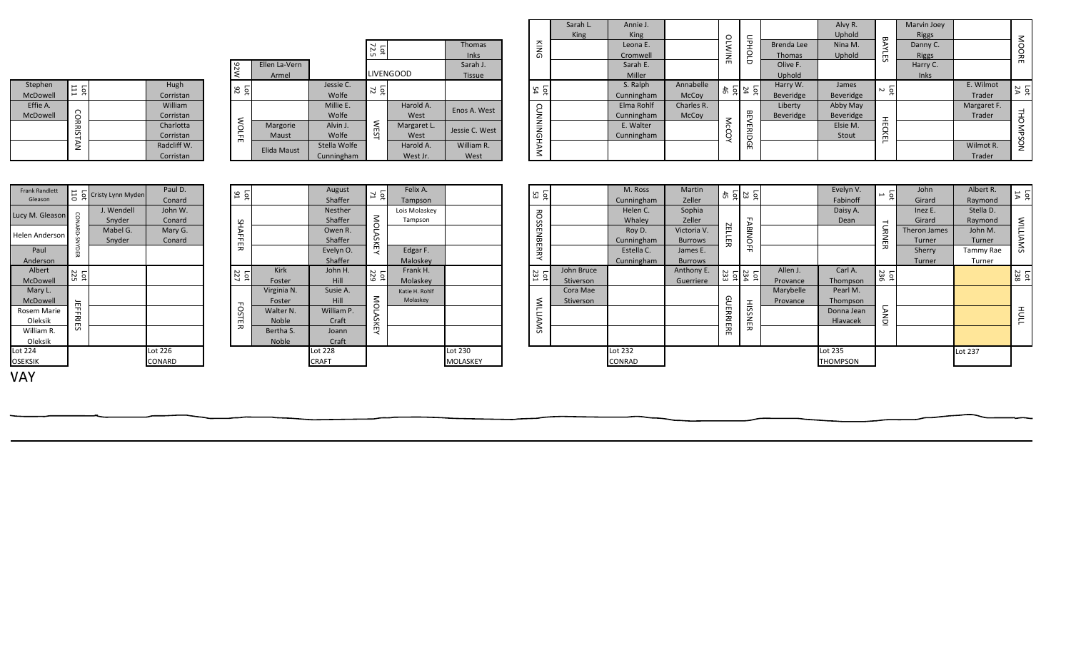| Stephen<br>$\frac{1}{111}$<br>McDowell<br>Effie A.<br>McDowell                                                 | MZ6<br>Hugh<br>101<br>Corristan<br>William<br>Corristan            | Ellen La-Vern<br>Armel                                                 | Lot<br>$72.5$<br>Jessie C.<br>Let $\frac{1}{72}$<br>Wolfe<br>Millie E.<br>Wolfe | <b>LIVENGOOD</b><br>Harold A.<br>West        | Thomas<br><b>Inks</b><br>Sarah J.<br><b>Tissue</b><br>Enos A. West | KING<br>Lat<br>54             | Sarah L.<br>King        | Annie J.<br><b>King</b><br>Leona E.<br>Cromwell<br>Sarah E.<br>Miller<br>S. Ralph<br>Cunningham<br>Elma Rohlf<br>Cunningham | Annabelle<br>McCoy<br>Charles R.<br>McCoy                     | <b>OLWINE</b> | Прногр<br>$\frac{1}{2}$ $\frac{2}{4}$ $\frac{1}{4}$ $\frac{5}{4}$    | Brenda Lee<br><b>Thomas</b><br>Olive F.<br>Uphold<br>Harry W.<br>Beveridge<br>Liberty<br>Beveridge | Alvy R.<br>Uphold<br>Nina M.<br>Uphold<br>James<br>Beveridge<br>Abby May<br>Beveridge | <b>BAYLES</b><br>$\overline{5}$ | Marvin Joey<br><b>Riggs</b><br>Danny C.<br><b>Riggs</b><br>Harry C.<br>Inks | E. Wilmot<br>Trader<br>Margaret F.<br>Trader           | MOORE<br>Lot<br>2A                 |
|----------------------------------------------------------------------------------------------------------------|--------------------------------------------------------------------|------------------------------------------------------------------------|---------------------------------------------------------------------------------|----------------------------------------------|--------------------------------------------------------------------|-------------------------------|-------------------------|-----------------------------------------------------------------------------------------------------------------------------|---------------------------------------------------------------|---------------|----------------------------------------------------------------------|----------------------------------------------------------------------------------------------------|---------------------------------------------------------------------------------------|---------------------------------|-----------------------------------------------------------------------------|--------------------------------------------------------|------------------------------------|
| <b>CORRISTAN</b>                                                                                               | <b>WOLFE</b><br>Charlotta<br>Corristan<br>Radcliff W.<br>Corristan | Margorie<br>Maust<br>Elida Maust                                       | <b>WEST</b><br>Alvin J.<br>Wolfe<br>Stella Wolfe<br>Cunningham                  | Margaret L.<br>West<br>Harold A.<br>West Jr. | Jessie C. West<br>William R.<br>West                               | CUNNINGHAM                    |                         | E. Walter<br>Cunningham                                                                                                     |                                                               | McCOY         | <b>BEVERIDGE</b>                                                     |                                                                                                    | Elsie M.<br>Stout                                                                     | <b>HECKEL</b>                   |                                                                             | Wilmot R.<br>Trader                                    | THOMPSON                           |
| <b>Frank Randlett</b><br>$\frac{11}{6}$ Cristy Lynn Myden<br>Gleason                                           | Paul D.<br>16<br>Conard                                            |                                                                        | August<br>$\frac{1}{2}$<br>Shaffer                                              | Felix A.<br>Tampson                          |                                                                    | Lat<br>53                     |                         | M. Ross<br>Cunningham                                                                                                       | Martin<br>Zeller                                              |               | $\frac{15}{23} \frac{22}{25}$                                        |                                                                                                    | Evelyn V.<br>Fabinoff                                                                 | $\frac{1}{2}$ –                 | John<br>Girard                                                              | Albert R.<br>Raymond                                   | Lot<br>14                          |
| J. Wendell<br>Lucy M. Gleason<br>Snyder<br>Mabel G.<br><b>Helen Andersor</b><br>Snyder<br><b>AYDER</b><br>Paul | John W.<br>Conard<br>SHAFFER<br>Mary G.<br>Conard                  |                                                                        | Nesther<br><b>MOLASKEY</b><br>Shaffer<br>Owen R.<br>Shaffer<br>Evelyn O.        | Lois Molaskey<br>Tampson<br>Edgar F.         |                                                                    | <b>ROSSENBERRY</b>            |                         | Helen C.<br>Whaley<br>Roy D.<br>Cunningham<br>Estella C.                                                                    | Sophia<br>Zeller<br>Victoria V.<br><b>Burrows</b><br>James E. | ZELLER        | <b>FABINOFF</b>                                                      |                                                                                                    | Daisy A.<br>Dean                                                                      | TURNER                          | Inez E.<br>Girard<br>Theron James<br>Turner<br>Sherry                       | Stella D.<br>Raymond<br>John M.<br>Turner<br>Tammy Rae | <b>WILLIAMS</b>                    |
| Anderson<br>Albert<br>$rac{1}{225}$<br>McDowell                                                                | Lot $227$                                                          | Kirk<br>Foster                                                         | Shaffer<br>John H.<br>Lot<br>229<br><b>Hill</b>                                 | Maloskey<br>Frank H.<br>Molaskey             |                                                                    | $\frac{1}{2}$ $\frac{23}{21}$ | John Bruce<br>Stiverson | Cunningham                                                                                                                  | <b>Burrows</b><br>Anthony E.<br>Guerriere                     |               | $\begin{array}{c}\n\text{Let } \\ 234 \\ \text{Let } \\ \end{array}$ | Allen J.<br>Provance                                                                               | Carl A.<br>Thompson                                                                   | $L_{36}$                        | Turner                                                                      | Turner                                                 | $\frac{1}{238}$                    |
| Mary L.<br>McDowell<br><b>JEFFRIES</b><br>Rosem Marie<br>Oleksik<br>William R.<br>Oleksik                      | <b>FOSTER</b>                                                      | Virginia N<br>Foster<br><b>Walter N</b><br>Noble<br>Bertha S.<br>Noble | Susie A.<br>MOLASKEY<br>Hill<br>William P.<br>Craft<br>Joann<br>Craft           | Katie H. Rohlf<br>Molaskey                   |                                                                    | <b>WILLIAMS</b>               | Cora Mae<br>Stiverson   |                                                                                                                             |                                                               | GUERRIERE     | <b>HISSNER</b>                                                       | Marybelle<br>Provance                                                                              | Pearl M.<br>Thompson<br>Donna Jean<br>Hlavacek                                        | <b>LANDI</b>                    |                                                                             |                                                        | $\overline{\overline{\mathsf{T}}}$ |
| Lot 224<br><b>OSEKSIK</b><br><b>VAY</b>                                                                        | Lot 226<br>CONARD                                                  |                                                                        | Lot 228<br><b>CRAFT</b>                                                         |                                              | Lot 230<br>MOLASKEY                                                |                               |                         | Lot 232<br>CONRAD                                                                                                           |                                                               |               |                                                                      |                                                                                                    | Lot 235<br><b>THOMPSON</b>                                                            |                                 |                                                                             | Lot 237                                                |                                    |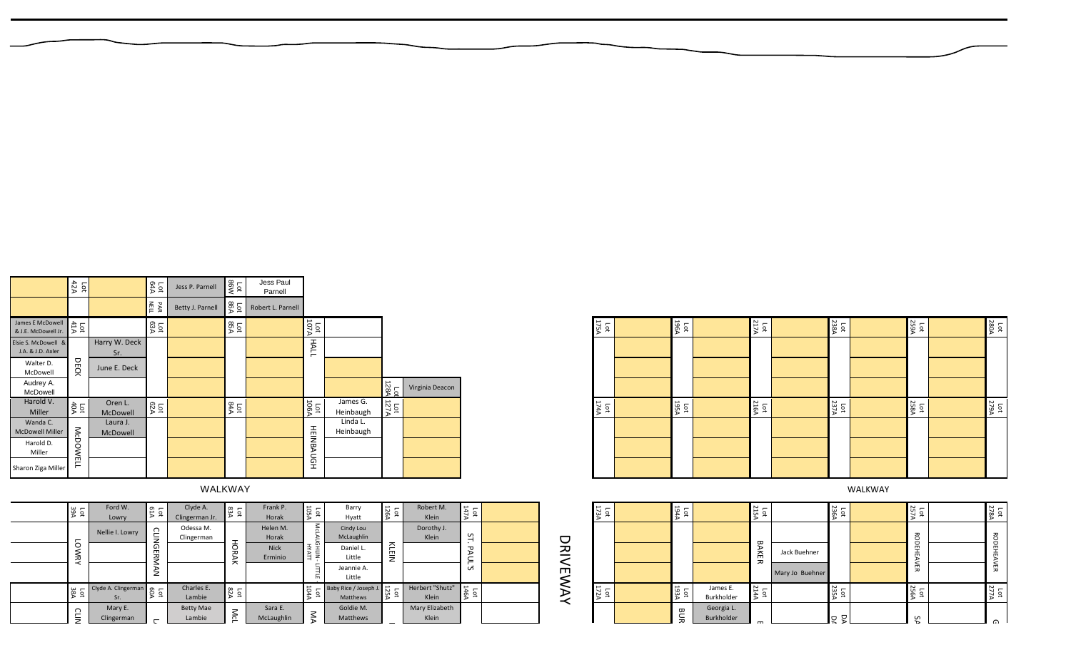| 10t<br>39A   | Ford W.<br>Lowry           | 61A<br>$\overline{\mathsf{p}}$ | Clyde A.<br>Clingerman Jr. | Lot<br>83A   | Frank P.<br>Horak      | 105A       | Barry<br>Hyatt                   | Lot<br>$\frac{1}{126A}$ | Robert M.<br><b>Klein</b>       | <b>147A</b><br>Гot              |  |
|--------------|----------------------------|--------------------------------|----------------------------|--------------|------------------------|------------|----------------------------------|-------------------------|---------------------------------|---------------------------------|--|
|              | Nellie I. Lowry            |                                | Odessa M.<br>Clingerman    |              | Helen M.<br>Horak      | MCLAUGHLIN | Cindy Lou<br>McLaughlin          |                         | Dorothy J.<br>Klein             | ST.                             |  |
| <b>LOWRY</b> |                            | <b>CLINGERMAN</b>              |                            | <b>HORAK</b> | <b>Nick</b><br>Erminio | HYATT      | Daniel L.<br>Little              | KLEIN                   |                                 | PAUL'S                          |  |
|              |                            |                                |                            |              |                        | LITTLE     | Jeannie A.<br>Little             |                         |                                 |                                 |  |
| 38A<br>Ъđ    | Clyde A. Clingerman<br>Sr. | 60A<br>рŢ                      | Charles E.<br>Lambie       | A28<br>р     |                        | 104A       | Baby Rice / Joseph J<br>Matthews | Lot<br>$125A$           | Herbert "Shutz"<br><b>Klein</b> | 146A<br>$\overline{\mathsf{q}}$ |  |
| ∩<br>∸<br>₹  | Mary E.<br>Clingerman      | $\overline{ }$                 | <b>Betty Mae</b><br>Lambie | McL          | Sara E.<br>McLaughlin  | ŠД         | Goldie M.<br>Matthews            |                         | Mary Elizabeth<br>Klein         |                                 |  |
|              |                            |                                |                            |              |                        |            |                                  |                         |                                 |                                 |  |

| ı<br>ı  |
|---------|
|         |
|         |
| f,<br>۴ |
|         |

|                  | WALKWAY             |                                      |                                                             |                                                                        |                                   |                          |                                                               |                                         |               |                    |                          |                  |                                 |                                                   | WALKWAY |                   |                                               |  |
|------------------|---------------------|--------------------------------------|-------------------------------------------------------------|------------------------------------------------------------------------|-----------------------------------|--------------------------|---------------------------------------------------------------|-----------------------------------------|---------------|--------------------|--------------------------|------------------|---------------------------------|---------------------------------------------------|---------|-------------------|-----------------------------------------------|--|
| А.<br>ian Jr.    | $\frac{1}{83A}$     | Frank P.<br>Horak                    | $\frac{\text{Lott}}{105\text{A}}$                           | Barry<br>Hyatt                                                         | $\frac{\text{Lott}}{126\text{A}}$ | Robert M.<br>Klein       | $\frac{147A}{147A}$                                           |                                         | Las<br>173A   | 194A               |                          | $\frac{1}{215A}$ |                                 | 236A<br>$\overline{\phantom{0}}$<br>$\frac{1}{2}$ |         | Lot<br>257A       | Lot $\frac{1}{278A}$                          |  |
| ıM.<br>man       | H<br>ទី<br>⋗<br>≍   | Helen M.<br>Horak<br>Nick<br>Erminio | McL<br>HAYH<br>HAYLI<br>$\overline{\phantom{0}}$<br>≒<br>'n | Cindy Lou<br>McLaughlin<br>Daniel L.<br>Little<br>Jeannie A.<br>Little | KLEIN                             | Dorothy J.<br>Klein      | $\overline{5}$<br>᠊ᠣ<br>$\overline{\phantom{0}}$<br>≍<br>ِ آن | D<br>$\sum_{k=1}^{n}$<br>$\blacksquare$ |               |                    |                          | ᡂ<br>ΑK<br>ᅎ     | Jack Buehner<br>Mary Jo Buehner |                                                   |         | RODEHE<br>⋗<br>ŠЕ | ී<br>$\overline{\phantom{0}}$<br>m.<br>盖<br>贾 |  |
| s E.<br>vie      | Lot $\frac{1}{82A}$ |                                      | $\frac{1}{2}$                                               | Baby Rice / Joseph J. 25                                               |                                   | Herbert "Shutz"<br>Klein | $\frac{1}{464}$                                               | ↖<br>₹                                  | Lot<br>$172A$ | $\frac{1934}{294}$ | James E.<br>Burkholder   | Lot<br>214A      |                                 | 235A<br>$\overline{\phantom{0}}$<br>$\alpha$      |         | Lot<br>256A       | Lot $\frac{1}{277A}$                          |  |
| <b>Mae</b><br>ie | Mcl                 | Sara E.<br>McLaughlin                | $\leq$                                                      | Goldie M.<br>Matthews                                                  |                                   | Mary Elizabeth<br>Klein  |                                                               |                                         |               | BUR                | Georgia L.<br>Burkholder |                  |                                 | p                                                 |         | S                 | $\Omega$                                      |  |

|                                          | 42A<br>$\overline{p}$ |                      | 64A         | Jess P. Parnell  | Lot<br>86W             | Jess Paul<br>Parnell |                  |                       |      |                 |
|------------------------------------------|-----------------------|----------------------|-------------|------------------|------------------------|----------------------|------------------|-----------------------|------|-----------------|
|                                          |                       |                      | NELL<br>ЯАR | Betty J. Parnell | Lot<br>86A             | Robert L. Parnell    |                  |                       |      |                 |
| James E McDowell<br>& J.E. McDowell Jr.  | Lot<br>$\frac{1}{4}$  |                      | Lot<br>63A  |                  | Lot<br>85A             |                      | 107A             |                       |      |                 |
| Elsie S. McDowell &<br>J.A. & J.D. Axler |                       | Harry W. Deck<br>Sr. |             |                  |                        |                      | <b>HALL</b>      |                       |      |                 |
| Walter D.<br>McDowell                    | DECK                  | June E. Deck         |             |                  |                        |                      |                  |                       |      |                 |
| Audrey A.<br>McDowell                    |                       |                      |             |                  |                        |                      |                  |                       | 128A | Virginia Deacon |
| Harold V.<br><b>Miller</b>               | Lot<br>40A            | Oren L.<br>McDowell  | 62A         |                  | Lot<br>$\frac{1}{84A}$ |                      | 106A             | James G.<br>Heinbaugh | 127A |                 |
| Wanda C.<br><b>McDowell Miller</b>       |                       | Laura J.<br>McDowell |             |                  |                        |                      |                  | Linda L.<br>Heinbaugh |      |                 |
| Harold D.<br>Miller                      | McDOWELL              |                      |             |                  |                        |                      | <b>HEINBAUGH</b> |                       |      |                 |
| Sharon Ziga Miller                       |                       |                      |             |                  |                        |                      |                  |                       |      |                 |

| 175A<br><b>Lot</b>                     | 196A<br>pq         | 217A<br>$\overline{\mathsf{p}}$ | Lot<br>238A | 259A<br>$\overline{\mathsf{P}}$ | 280A<br>Lot        |
|----------------------------------------|--------------------|---------------------------------|-------------|---------------------------------|--------------------|
|                                        |                    |                                 |             |                                 |                    |
|                                        |                    |                                 |             |                                 |                    |
|                                        |                    |                                 |             |                                 |                    |
| <b>174A</b><br>$\overline{\mathtt{o}}$ | <b>ASP1</b><br>Įоt | 216A<br>$\overline{\mathtt{p}}$ | Lot<br>237A | 258A<br>$\overline{\mathsf{p}}$ | <b>APT2</b><br>Ìоt |
|                                        |                    |                                 |             |                                 |                    |
|                                        |                    |                                 |             |                                 |                    |
|                                        |                    |                                 |             |                                 |                    |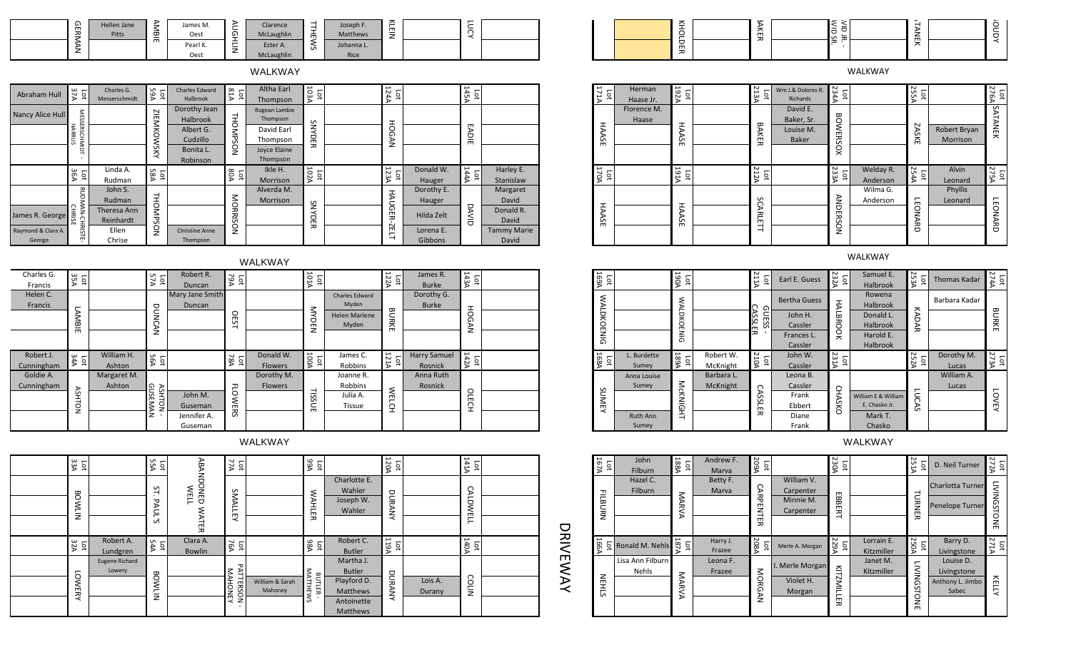| –<br>G)<br>$\blacksquare$<br>ᆽ | Hellen Jane<br>Pitts | ⋗<br>╼<br>-<br>$\mathbf{\sigma}$<br>- | James M.<br>Oest | ─           | Clarence<br>McLaughlin | -<br>-<br><b>__</b><br>m | Joseph F.<br>Matthews | 즈<br>m<br>-<br>⇁<br>_ | -<br>–<br>ー<br>⌒ |  |
|--------------------------------|----------------------|---------------------------------------|------------------|-------------|------------------------|--------------------------|-----------------------|-----------------------|------------------|--|
| ∍<br>∸                         |                      | $\blacksquare$                        | Pearl K.<br>Oest | -<br>–<br>∸ | Ester A.<br>McLaughlin | cñ                       | Johanna L.<br>Rice    |                       |                  |  |

WALKWAY

| Abraham Hull       | Lot<br>37A             | Charles G.<br>Messerschmidt | <b>A9A</b><br>$\overline{5}$ | Charles Edward<br>Halbrook | A18<br>$\overline{\mathsf{P}}$ | <b>Altha Earl</b><br>Thompson | 1034<br>Гot                     | <b>AAAA</b><br>$\overline{\mathtt{q}}$ |            | <b>145A</b><br>$\overline{5}$          |                    |
|--------------------|------------------------|-----------------------------|------------------------------|----------------------------|--------------------------------|-------------------------------|---------------------------------|----------------------------------------|------------|----------------------------------------|--------------------|
| Nancy Alice Hull   | <b>MESSERSCHMIDT</b>   |                             | ⊵                            | Dorothy Jean<br>Halbrook   | THOMPSON                       | Rogean Lambie<br>Thompson     |                                 | I                                      |            |                                        |                    |
|                    |                        |                             | <b>IEMKO</b>                 | Albert G.                  |                                | David Earl                    | SNY                             |                                        |            |                                        |                    |
|                    | <b>HARRUS</b>          |                             |                              | Cudzillo                   |                                | Thompson                      | 유                               | <b>IOGAN</b>                           |            | <b>EADIE</b>                           |                    |
|                    |                        |                             | <b>NSW</b>                   | Bonita L.                  |                                | Joyce Elaine                  | <del>ಸ</del>                    |                                        |            |                                        |                    |
|                    |                        |                             |                              | Robinson                   |                                | Thompson                      |                                 |                                        |            |                                        |                    |
|                    | 36A<br>$\overline{p}$  | Linda A.                    | <b>58A</b><br>Гot            |                            | 80A<br>$\overline{\mathsf{P}}$ | Ikle H.                       | 102A<br>$\overline{\mathsf{p}}$ | $rac{123A}{123A}$                      | Donald W.  | <b>144A</b><br>$\overline{\mathsf{p}}$ | Harley E.          |
|                    |                        | Rudman                      |                              |                            |                                | Morrison                      |                                 |                                        | Hauger     |                                        | Stanislaw          |
|                    |                        | John S.                     |                              |                            |                                | Alverda M.                    |                                 |                                        | Dorothy E. |                                        | Margaret           |
|                    |                        | Rudman                      |                              |                            |                                | <b>Morrison</b>               | S                               |                                        | Hauger     |                                        | David              |
| James R. George    | RUDMAN-                | Theresa Ann                 | THOMPS                       |                            |                                |                               | ≺                               | HAUGE                                  | Hilda Zelt |                                        | Donald R.          |
|                    | <b>CHRISE</b><br>CHRIS | Reinhardt                   |                              |                            | MORRISON                       |                               | U<br>m                          | ≖                                      |            | DAVID                                  | David              |
| Raymond & Clara A. |                        | Ellen                       | ğ                            | <b>Christine Anne</b>      |                                |                               | ᆽ                               | ÌЕ.                                    | Lorena E.  |                                        | <b>Tammy Marie</b> |
| George             | 닉                      | Chrise                      |                              | Thompson                   |                                |                               |                                 | ⊣                                      | Gibbons    |                                        | David              |

|            |                 |             |              |                 |            | WALKWAY        |                          |                      |                         |                     |               |  |                          |             |                |            |               |                     |               | WALKWAY       |
|------------|-----------------|-------------|--------------|-----------------|------------|----------------|--------------------------|----------------------|-------------------------|---------------------|---------------|--|--------------------------|-------------|----------------|------------|---------------|---------------------|---------------|---------------|
| Charles G. | ω<br>s a        |             | Lot<br>57A   | Robert R.       | het<br>79A |                | ទី គ្ន                   |                      | $\frac{10}{122}$        | James R.            | ⊢             |  | 1691<br>1694             |             | ទ្រ ឆ្ន        |            | Lot<br>$211A$ | Earl E. Guess       | $\frac{5}{2}$ | Samuel        |
| Francis    |                 |             |              | Duncan          |            |                |                          |                      |                         | Burke               |               |  |                          |             |                |            |               |                     |               | Halbroc       |
| Helen C.   |                 |             |              | Mary Jane Smith |            |                |                          | Charles Edward       |                         | Dorothy G.          |               |  | ξ                        |             |                |            |               | <b>Bertha Guess</b> |               | Rowen         |
| Francis    |                 |             | ヮ            | Duncan          |            |                | $\overline{\phantom{a}}$ | Myden                | $\mathbf{\overline{u}}$ | Burke               | 工             |  | $\overline{\phantom{0}}$ |             |                |            |               |                     |               | Halbroc       |
|            | ↘               |             | ∽            |                 |            |                | ヮ                        | <b>Helen Marlene</b> | ᆽ                       |                     |               |  | 只                        |             | $\Box$         |            |               | John H.             | LBR           | Donald        |
|            | ᡂ<br>m          |             |              |                 |            |                | ⇁                        | Myden                | 줐                       |                     | z             |  |                          |             |                |            |               | Cassler             |               | Halbroc       |
|            |                 |             | $\mathbf{z}$ |                 |            |                |                          |                      |                         |                     |               |  | Ž<br>ត                   |             | $\overline{a}$ |            |               | Frances L.          |               | Harold I      |
|            |                 |             |              |                 |            |                |                          |                      |                         |                     |               |  |                          |             |                |            |               | Cassler             |               | Halbroc       |
| Robert J.  | $\frac{1}{244}$ | William H.  | Lot<br>56A   |                 | Lot<br>78A | Donald W.      | $_{\rm{tot}}^{\rm{tot}}$ | James C.             | $\frac{1}{1214}$        | <b>Harry Samuel</b> | $\frac{1}{4}$ |  | Lot<br>168A              | L. Burdette | Lot<br>189     | Robert W.  | Lot<br>210A   | John W.             | 23            |               |
| Cunningham |                 | Ashton      |              |                 |            | Flowers        |                          | Robbins              |                         | Rosnick             |               |  |                          | Sumey       |                | McKnight   |               | Cassler             |               |               |
| Goldie A.  |                 | Margaret M. |              |                 |            | Dorothy M.     |                          | Joanne R.            |                         | Anna Ruth           |               |  |                          | Anna Louise |                | Barbara L. |               | Leona B.            |               |               |
| Cunningham |                 | Ashton      | AS<br>GD     |                 | ᆩ          | <b>Flowers</b> |                          | Robbins              | ₹                       | Rosnick             |               |  | S                        | Sumey       | ↘              | McKnight   |               | Cassler             | റ             |               |
|            |                 |             | 퐄            | John M.         |            |                | SSi.                     | Julia A.             | $\blacksquare$          |                     |               |  |                          |             |                |            |               | Frank               |               | William E & W |
|            |                 |             |              | Guseman         |            |                | $\mathbf{m}$             | Tissue               |                         |                     |               |  | 붛<br>$\prec$             |             |                |            | ш             | Ebbert              | ã             | E. Chasko     |
|            |                 |             |              | Jennifer A.     | 52         |                |                          |                      |                         |                     |               |  |                          | Ruth Ann    | 白              |            | 观             | Diane               |               | Mark T        |
|            |                 |             |              | Guseman         |            |                |                          |                      |                         |                     |               |  |                          | Sumey       |                |            |               | Frank               |               | Chasko        |

WALKWAY

| 33A<br>$\overline{\mathsf{S}}$ |                                 | Lot<br>55A          |                                          | 77A<br><b>p</b>                 |                            | <b>101</b><br>99A  |                                                                                 | $\frac{1}{120A}$        |                   | <b>A141A</b><br>Lot |          |
|--------------------------------|---------------------------------|---------------------|------------------------------------------|---------------------------------|----------------------------|--------------------|---------------------------------------------------------------------------------|-------------------------|-------------------|---------------------|----------|
| <b>BOWLIN</b>                  |                                 | 51<br><b>PAUL'S</b> | <b>ABANDONED</b><br>WELL<br><b>WATER</b> | SMALLEY                         |                            | <b>WAHLER</b>      | Charlotte E.<br>Wahler<br>Joseph W.<br>Wahler                                   | DURANY                  |                   | <b>CALDWELL</b>     |          |
| $\frac{1}{32A}$                | Robert A.<br>Lundgren           | 54A                 | Clara A.<br><b>Bowlin</b>                | 76A<br>рq                       |                            | 1ot<br>98A         | Robert C.<br><b>Butler</b>                                                      | <b>ASLI</b><br><b>b</b> |                   | <b>140A</b><br>Lot  |          |
| 5<br><b>WERY</b>               | <b>Eugene Richard</b><br>Lowery | <b>BOWLIN</b>       |                                          | PAT<br><b>MAHONEY</b><br>TERSON | William & Sarah<br>Mahoney | MATTHEWS<br>BUTLER | Martha J.<br><b>Butler</b><br>Playford D.<br>Matthews<br>Antoinette<br>Matthews | DURANY                  | Lois A.<br>Durany | COLIN               | DRIVEWAY |

|  |        | س | <b>A</b><br>∽     | $\sim$              | $\cdot$ |
|--|--------|---|-------------------|---------------------|---------|
|  | ᆽ      | m | m                 |                     |         |
|  | m<br>ᆽ | ᆽ | ᆺ<br>$\mathbf{r}$ | $\blacksquare$<br>ᄌ |         |

WALKWAY

| AITI<br>Гà                             | Herman<br>Haase Jr.  | 192A<br>Lot        | 21<br>Ъđ<br>ؾٵ | Wm J.& Dolores R.<br>Richards                       | <b>234A</b><br>$\overline{\mathtt{q}}$ |                       | <b>255A</b><br>Ъđ             |                          | 276A<br><b>p</b>  |
|----------------------------------------|----------------------|--------------------|----------------|-----------------------------------------------------|----------------------------------------|-----------------------|-------------------------------|--------------------------|-------------------|
| <b>HAASE</b>                           | Florence M.<br>Haase | HAASE              | <b>BAKER</b>   | David E.<br>Baker, Sr.<br>Louise M.<br><b>Baker</b> | <b>BOWERSOX</b>                        |                       | <b>ZASKE</b>                  | Robert Bryan<br>Morrison | SATANEK           |
| <b>170A</b><br>$\overline{\mathsf{p}}$ |                      | <b>A161</b><br>Lot | 21<br>Lot<br>z |                                                     | 233A<br>$\overline{\mathtt{q}}$        | Welday R.<br>Anderson | <b>254A</b><br>$\overline{5}$ | Alvin<br>Leonard         | <b>275A</b><br>Ъđ |
| <b>HAASE</b>                           |                      | <b>HAASE</b>       | SCARLETT       |                                                     | <b>ANDERSON</b>                        | Wilma G.<br>Anderson  | <b>LEONARD</b>                | Phyllis<br>Leonard       | <b>LEONARD</b>    |

| ames R.<br><b>Burke</b>    | <b>143A</b><br>Ìб      |  | 169A<br>pф             |                      | 190A<br>pс        |                        | 211A<br>$\overline{a}$                           | Earl E. Guess         | $\frac{\text{lot}}{\text{232A}}$ | Samuel E.<br>Halbrook                | 253A<br>ö                   | <b>Thomas Kadar</b> | $rac{L}{274A}$                          |
|----------------------------|------------------------|--|------------------------|----------------------|-------------------|------------------------|--------------------------------------------------|-----------------------|----------------------------------|--------------------------------------|-----------------------------|---------------------|-----------------------------------------|
| rothy G.<br><b>Burke</b>   |                        |  | <b>WALDK</b>           |                      | <b>NAL</b>        |                        | C<br>ഹ                                           | <b>Bertha Guess</b>   | Ξ                                | Rowena<br>Halbrook                   |                             | Barbara Kadar       |                                         |
|                            | HOG<br>₹               |  | O                      |                      | ă<br><b>CENIG</b> |                        | JESS<br><b>SSLE</b>                              | John H.<br>Cassler    | ᡂ<br>ᆽ<br>O                      | Donald L.<br>Halbrook                | КАDАR                       |                     | <b>BURKE</b>                            |
|                            |                        |  | <b>ENIG</b>            |                      |                   |                        | 观                                                | Frances L.<br>Cassler | ğ                                | Harold E.<br>Halbrook                |                             |                     |                                         |
| ry Samuel<br>osnick?       | 142A<br>$\overline{a}$ |  | 1684<br>$\overline{p}$ | L. Burdette<br>Sumey | <b>A99A</b><br>Ъđ | Robert W.<br>McKnight  | 210A<br>$\overline{\phantom{m}}$<br>$\mathbf{a}$ | John W.<br>Cassler    | <b>231A</b><br>ġ                 |                                      | 252A<br>$\overline{a}$<br>₽ | Dorothy M.<br>Lucas | <b>AST3A</b><br>$\overline{\mathsf{p}}$ |
| ına Ruth<br><b>losnick</b> |                        |  |                        | Anna Louise<br>Sumey |                   | Barbara L.<br>McKnight | C                                                | Leona B.<br>Cassler   |                                  |                                      |                             | William A.<br>Lucas |                                         |
|                            | OLECH                  |  | <b>SUME</b><br>≺       |                      | McKNIGHT          |                        | ⋗<br>m<br>Ü<br>똬                                 | Frank<br>Ebbert       | <b>CHASKO</b>                    | William E & William<br>E. Chasko Jr. | Ξ<br>5                      |                     | Ś<br>$\blacksquare$                     |
|                            |                        |  |                        | Ruth Ann<br>Sumey    |                   |                        |                                                  | Diane<br>Frank        |                                  | Mark T.<br>Chasko                    |                             |                     |                                         |

| <b>UNEY</b>    | <b>Ruth Ann</b><br>Sumey         | CKNIGHT                 |                    | <b>ASSLER</b>             | Frank<br>Ebbert<br>Diane<br>Frank                 | HASKO                    | William E & William<br>E. Chasko Jr.<br>Mark T.<br>Chasko | <b>LUCAS</b>                           |                                                       | <b>LOVEY</b>                  |
|----------------|----------------------------------|-------------------------|--------------------|---------------------------|---------------------------------------------------|--------------------------|-----------------------------------------------------------|----------------------------------------|-------------------------------------------------------|-------------------------------|
|                |                                  |                         |                    |                           |                                                   |                          | WALKWAY                                                   |                                        |                                                       |                               |
| 167A<br>Гot    | John<br>Filburn                  | $\frac{\log 1}{\log 1}$ | Andrew F.<br>Marva | <b>A602</b><br><b>Lot</b> |                                                   | 230A<br>Lot              |                                                           | Lot<br>251A                            | D. Neil Turner                                        | Lot<br>272A                   |
| <b>FILBURN</b> | Hazel C.<br>Filburn              | MARVA                   | Betty F.<br>Marva  | <b>CARPENTER</b>          | William V.<br>Carpenter<br>Minnie M.<br>Carpenter | $\blacksquare$<br>ä<br>Ë |                                                           | TURNER                                 | Charlotta Turner<br>Penelope Turner                   | <b>LIVINGSTONE</b>            |
| 166A           | 요 Ronald M. Nehls                | <b>A781</b><br>Ìо       | Harry J.<br>Frazee | 208A<br>Įоt               | Merle A. Morgan                                   | <b>APS25</b><br>Ìоİ      | Lorrain E.<br>Kitzmiller                                  | <b>250A</b><br>$\overline{\mathsf{P}}$ | Barry D.<br>Livingstone                               | <b>ATLZ</b><br>$\overline{5}$ |
| <b>NEHLS</b>   | Lisa Ann Filburn<br><b>Nehls</b> | MARVA                   | Leona F.<br>Frazee | MORGAN                    | I. Merle Morgan<br>Violet H.<br>Morgan            | <b>KITZMILLER</b>        | Janet M.<br>Kitzmiller                                    | <b>LIVINGSTONE</b>                     | Louise D.<br>Livingstone<br>Anthony L. Jimbo<br>Sabec | KELLY                         |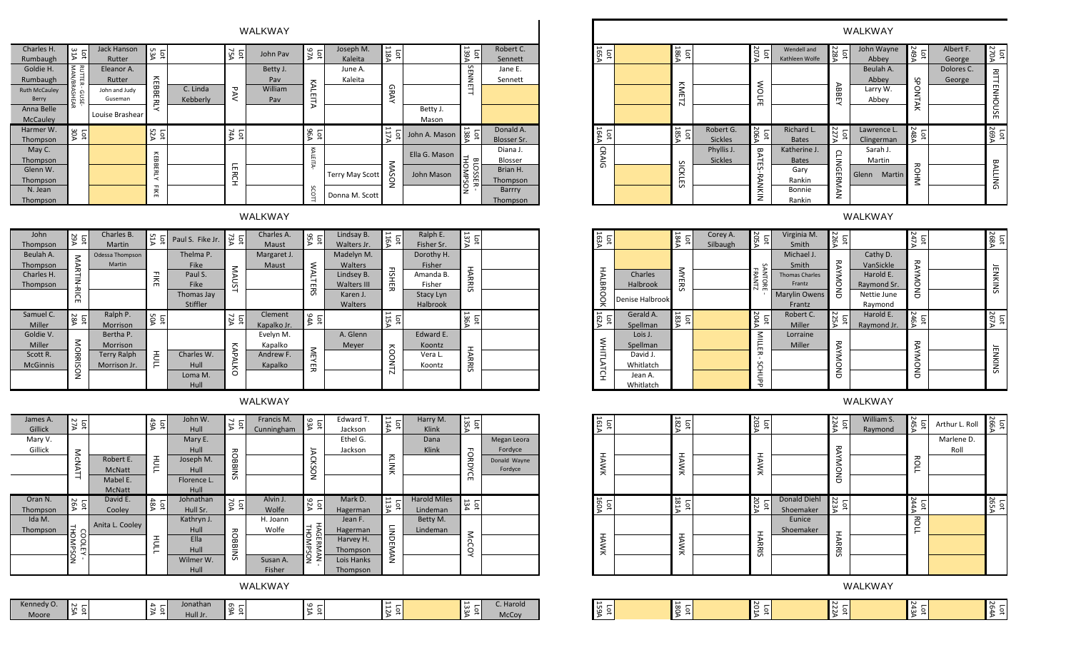| Charles H.<br>Rumbaugh        | 51<br>pоt<br>⋗                 | Jack Hanson<br>Rutter    | 53A<br>Ъđ                      |                      | ΑŠΛ<br><b>pdt</b>    | John Pav       | A7A<br>$\overline{5}$          | Joseph M.<br>Kaleita   | 118A<br><b>pdt</b>   |               | Lot<br>139A                  | Robert C.<br>Sennett |
|-------------------------------|--------------------------------|--------------------------|--------------------------------|----------------------|----------------------|----------------|--------------------------------|------------------------|----------------------|---------------|------------------------------|----------------------|
| Goldie H.                     | РUТ                            | Eleanor A.               |                                |                      |                      | Betty J.       |                                | June A.                |                      |               | æ                            | Jane E.              |
| Rumbaugh                      | 巴                              | Rutter                   |                                |                      |                      | Pay            |                                | Kaleita                |                      |               | $\overline{z}$               | Sennett              |
| <b>Ruth McCauley</b><br>Berry | MAN/BRASHEAR<br>GUS            | John and Judy<br>Guseman | KEBB                           | C. Linda<br>Kebberly | PAV                  | William<br>Pay | ξ<br>EITA                      |                        | <b>GRAY</b>          |               | $\blacksquare$<br>⋣          |                      |
| Anna Belle                    | m                              |                          | ERLY                           |                      |                      |                |                                |                        |                      | Betty J.      |                              |                      |
| <b>McCauley</b>               |                                | Louise Brashear          |                                |                      |                      |                |                                |                        |                      | Mason         |                              |                      |
| Harmer W.                     | AOE<br>$\overline{\mathsf{q}}$ |                          | 52A<br>$\overline{\mathsf{P}}$ |                      | ΑA<br>$\overline{a}$ |                | 96A<br>$\overline{\mathsf{p}}$ |                        | 11<br>$\overline{5}$ | John A. Mason | Lot<br>138                   | Donald A.            |
| Thompson                      |                                |                          |                                |                      |                      |                |                                |                        | ↘<br>ъ               |               | ъ                            | Blosser Sr.          |
| May C.                        |                                |                          |                                |                      |                      |                |                                |                        |                      | Ella G. Mason |                              | Diana J.             |
| Thompson                      |                                |                          |                                |                      |                      |                | KALEITA                        |                        |                      |               | 보<br>$\mathbf{\overline{u}}$ | Blosser              |
| Glenn W.                      |                                |                          | KEBBERLY                       |                      | 듮<br>≖               |                |                                |                        | MAS                  | John Mason    | ā<br>OMP                     | Brian H.             |
| Thompson                      |                                |                          |                                |                      | Ë                    |                |                                | <b>Terry May Scott</b> | ğ                    |               | SSE<br>S<br>고                | Thompson             |
| N. Jean                       |                                |                          | 三个                             |                      |                      |                | SCOTT                          |                        |                      |               | ္ဘ                           | Barrry               |
| Thompson                      |                                |                          |                                |                      |                      |                |                                | Donna M. Scott         |                      |               |                              | Thompson             |

WALKWAY

| <b>John</b><br>Thompson                         | <b>29A</b><br>Lot          | Charles B.<br><b>Martin</b>        | <b>51A</b><br><b>pdt</b>     | Paul S. Fike Jr.                                   | <b>Lot</b><br>73Α     | Charles A.<br>Maust    | 6<br>$\overline{\mathsf{P}}$<br>Š | Lindsay B.<br>Walters Jr.                          | $\overline{\overline{u}}$<br>$\overline{\mathsf{p}}$<br>g<br>D | Ralph E.<br>Fisher Sr.                      | <b>ATEL</b><br>ğ         |  |
|-------------------------------------------------|----------------------------|------------------------------------|------------------------------|----------------------------------------------------|-----------------------|------------------------|-----------------------------------|----------------------------------------------------|----------------------------------------------------------------|---------------------------------------------|--------------------------|--|
| Beulah A.<br>Thompson<br>Charles H.<br>Thompson | $\leq$<br><b>ARTI</b><br>z | Odessa Thompson<br>Martin          | 끚<br>m                       | Thelma P.<br><b>Fike</b><br>Paul S.<br><b>Fike</b> | MAUST                 | Margaret J.<br>Maust   | <b>NAL</b><br>뷰                   | Madelyn M.<br>Walters<br>Lindsey B.<br>Walters III | $\mathbf \tau$<br>Ë<br>$\blacksquare$<br>ᆽ                     | Dorothy H.<br>Fisher<br>Amanda B.<br>Fisher | <b>HARRIS</b>            |  |
|                                                 | ₹,<br>m                    |                                    |                              | Thomas Jay<br><b>Stiffler</b>                      |                       |                        | 55                                | Karen J.<br>Walters                                |                                                                | Stacy Lyn<br><b>Halbrook</b>                |                          |  |
| Samuel C.<br>Miller                             | 28A<br>$\overline{5}$      | Ralph P.<br><b>Morrison</b>        | <b>50A</b><br>$\overline{5}$ |                                                    | ASN<br>$\overline{5}$ | Clement<br>Kapalko Jr. | <b>AAA</b><br>$\overline{5}$      |                                                    | 11<br>Lot<br>ሄ                                                 |                                             | <b>ASEL</b><br><u>із</u> |  |
| Goldie V.<br>Miller                             | ⋚                          | Bertha P.<br><b>Morrison</b>       |                              |                                                    |                       | Evelyn M.<br>Kapalko   |                                   | A. Glenn<br>Meyer                                  |                                                                | Edward E.<br><b>Koontz</b>                  |                          |  |
| Scott R.<br><b>McGinnis</b>                     | 克品                         | <b>Terry Ralph</b><br>Morrison Jr. | HULL<br>L                    | Charles W.<br>Hull                                 | KAP<br>ΆLΚ            | Andrew F.<br>Kapalko   | $\leq$<br>≺<br>m<br>ᆽ             |                                                    | $\tilde{8}$<br>Ē                                               | Vera L.<br>Koontz                           | HARRI                    |  |
|                                                 | g                          |                                    |                              | Loma M.<br>Hull                                    | Ö                     |                        |                                   |                                                    | N                                                              |                                             | $\sim$                   |  |

| James A.<br>Gillick | $\sim$<br>$\overline{5}$<br>λ, |                                                         | 49A<br>$\overline{5}$          | John W.<br>Hull                                             | AIT<br>$\overline{\mathsf{p}}$ | Francis M.<br>Cunningham                | Lot<br>93A                   | Edward T.<br>Jackson                                                   | <b>APII</b><br>Гot | Harry M.<br>Klink               | 135A<br>$\overline{\mathtt{q}}$ |                                                   |
|---------------------|--------------------------------|---------------------------------------------------------|--------------------------------|-------------------------------------------------------------|--------------------------------|-----------------------------------------|------------------------------|------------------------------------------------------------------------|--------------------|---------------------------------|---------------------------------|---------------------------------------------------|
| Mary V.<br>Gillick  | McN<br>⋗<br>⊣                  | Robert E.<br><b>McNatt</b><br>Mabel E.<br><b>McNatt</b> | <b>HULL</b>                    | Mary E.<br>Hull<br>Joseph M.<br>Hull<br>Florence L.<br>Hull | <b>ROB</b><br><b>SNIB</b>      |                                         | চ<br>CKS<br>ğ                | Ethel G.<br>Jackson                                                    | NINK               | Dana<br>Klink                   | ᆩ<br>Ö<br>P<br>റ<br>m           | Megan Leora<br>Fordyce<br>Donald Wayne<br>Fordyce |
| Oran N.<br>Thompson | 26A<br>$\overline{5}$          | David E.<br>Cooley                                      | 48A<br>$\overline{\mathsf{p}}$ | Johnathan<br>Hull Sr.                                       | 70A<br>$\overline{\mathtt{q}}$ | Alvin J.<br>Wolfe                       | A26<br>Ìо                    | Mark D.<br>Hagerman                                                    | <b>ASII</b><br>Ъđ  | <b>Harold Miles</b><br>Lindeman | 134<br>$\Xi$                    |                                                   |
| Ida M.<br>Thompson  | THOMP<br>COOLEY<br>Šon         | Anita L. Cooley                                         | <b>HULL</b>                    | Kathryn J.<br>Hull<br>Ella<br>Hull<br>Wilmer W.<br>Hull     | <b>ROBBINS</b>                 | H. Joann<br>Wolfe<br>Susan A.<br>Fisher | <b>HAGERMAN</b><br>THORMPSON | Jean F.<br>Hagerman<br>Harvey H.<br>Thompson<br>Lois Hanks<br>Thompson | LINDEMAN           | Betty M.<br>Lindeman            | McC<br>O<br>≺                   |                                                   |

WALKWAY

| Kennedy O.                       | Jonathan<br>$\sim$<br>∼    | $\sigma$<br>$\overline{\phantom{0}}$<br>-CO | . |          | _<br>ພ   | C. Harold    |
|----------------------------------|----------------------------|---------------------------------------------|---|----------|----------|--------------|
| O.<br><br>Moore<br>$\rightarrow$ | $\cdot$<br>Hull Jr.<br>. . | $\cdot$                                     |   | N<br>. . | ພ<br>. . | <b>McCov</b> |

| WALKWAY                           |                         |                                                                |                      |                                                          |                                          |                                                                   |                  |                                 |                  |                              |                                  |                                                                         |                        | WALKWAY                                                          |             |                      |                      |
|-----------------------------------|-------------------------|----------------------------------------------------------------|----------------------|----------------------------------------------------------|------------------------------------------|-------------------------------------------------------------------|------------------|---------------------------------|------------------|------------------------------|----------------------------------|-------------------------------------------------------------------------|------------------------|------------------------------------------------------------------|-------------|----------------------|----------------------|
| John Pav                          | <b>b7A</b>              | Joseph M.<br>Kaleita                                           | Lot $\frac{1}{118A}$ |                                                          | Lot<br>139A                              | Robert C.<br>Sennett                                              | 165A<br><u>ਕ</u> |                                 | $\frac{1}{186A}$ |                              | $\frac{\text{lot}}{\text{207A}}$ | Wendell and<br>Kathleen Wolfe                                           | Lot<br>228A            | John Wayne<br>Abbey                                              | Lot<br>249A | Albert F.<br>George  | Lot $\frac{1}{270A}$ |
| Betty J.<br>Pav<br>William<br>Pav | KALEITA                 | June A.<br>Kaleita                                             | GRAY                 | Betty J.<br>Mason                                        | SENNETT                                  | Jane E.<br>Sennett                                                |                  |                                 | KMETZ            |                              | <b>WOLFE</b>                     |                                                                         | <b>ABBEY</b>           | Beulah A.<br>Abbey<br>Larry W.<br>Abbey                          | SPONTAK     | Dolores C.<br>George | <b>RITTENHOUSE</b>   |
|                                   | Lot<br>96               |                                                                | 117A                 | John A. Mason                                            | $\frac{L \text{ot}}{138A}$               | Donald A.<br>Blosser Sr.                                          | 164A<br>়ু       |                                 | 185<br>101       | Robert G.<br><b>Sickles</b>  | Lot<br>206A                      | Richard L.<br><b>Bates</b>                                              | 227A<br>227A           | Lawrence L.<br>Clingerman                                        | Lot<br>248A |                      | 105<br>269A          |
|                                   | <b>KALEITA</b><br>SCOTT | Terry May Scott<br>Donna M. Scott                              | <b>NOSVM</b>         | Ella G. Mason<br>John Mason                              | THOMPSON<br>a<br>$\circ$<br>Ü<br>ūń<br>ᆽ | Diana J.<br>Blosser<br>Brian H.<br>Thompson<br>Barrry<br>Thompson | CRAIG            |                                 | SIC<br>KLES      | Phyllis J.<br><b>Sickles</b> | BATES-I<br><b>RANKIN</b>         | Katherine J.<br><b>Bates</b><br>Gary<br>Rankin<br>Bonnie<br>Rankin      | <b>CLINGERMAN</b>      | Sarah J.<br>Martin<br>Martin<br>Glenn                            | <b>ROHN</b> |                      | <b>BALLING</b>       |
| WALKWAY                           |                         |                                                                |                      |                                                          |                                          |                                                                   |                  |                                 |                  |                              |                                  |                                                                         |                        | WALKWAY                                                          |             |                      |                      |
| Charles A.<br>Maust               | <b>95A</b>              | Lindsay B.<br>Walters Jr.                                      | Lot<br>$116A$        | Ralph E.<br>Fisher Sr.                                   | עצ<br>זסן                                |                                                                   | 163A             |                                 | 184A<br>184A     | Corey A.<br>Silbaugh         | Lot<br>205A                      | Virginia M.<br>Smith                                                    | 226A<br>$\overline{5}$ |                                                                  | Lot<br>247A |                      | 101<br>268A          |
| Margaret J.<br>Maust              | <b>WALTERS</b>          | Madelyn M.<br>Walters<br>Lindsey B.<br>Walters III<br>Karen J. | <b>FISHER</b>        | Dorothy H.<br>Fisher<br>Amanda B.<br>Fisher<br>Stacy Lyn | <b>HARRIS</b>                            |                                                                   | <b>HALBRO</b>    | Charles<br>Halbrook<br>$\cdots$ | <b>MYERS</b>     |                              | SANTORE<br><b>FRANT</b>          | Michael J.<br>Smith<br><b>Thomas Charles</b><br>Frantz<br>Marylin Owens | <b>RAYMOND</b>         | Cathy D.<br>VanSickle<br>Harold E.<br>Raymond Sr.<br>Nettie June | RAYMOND     |                      | <b>JENKINS</b>       |

| a G. Mason<br>hn Mason                                                    | 보<br><b>BLOSSER</b><br>NOSdMO<br>$\mathbf{r}$ | Diana J.<br>Blosser<br>Brian H.<br>Thompson<br>Barrry<br>Thompson | CRAIG               |                                                                      | $\overline{6}$<br><b>ICKLE</b><br>ü    | Phyllis J.<br><b>Sickles</b> | <b>BATE</b><br>ü<br><b>RANKIN</b>      | Katherine J.<br><b>Bates</b><br>Gary<br>Rankin<br>Bonnie<br>Rankin                | <b>CLINGERMAN</b> | Sarah J.<br>Martin<br>Martin<br>Glenn                                       | <b>ROHM</b>      | <b>BALLING</b>         |
|---------------------------------------------------------------------------|-----------------------------------------------|-------------------------------------------------------------------|---------------------|----------------------------------------------------------------------|----------------------------------------|------------------------------|----------------------------------------|-----------------------------------------------------------------------------------|-------------------|-----------------------------------------------------------------------------|------------------|------------------------|
|                                                                           |                                               |                                                                   |                     |                                                                      |                                        |                              |                                        |                                                                                   |                   | <b>WALKWAY</b>                                                              |                  |                        |
| Ralph E.<br>Fisher Sr.                                                    | 137A<br>Ìоt                                   |                                                                   | 163A<br>Гot         |                                                                      | <b>184A</b><br>Lot                     | Corey A.<br>Silbaugh         | <b>205A</b><br>$\overline{\mathtt{o}}$ | Virginia M.<br>Smith                                                              | 226A<br>pс        |                                                                             | <b>ATA</b><br>Ìо | 101<br>Apl             |
| orothy H.<br>Fisher<br>manda B.<br>Fisher<br>Stacy Lyn<br><b>Halbrook</b> | <b>HARRIS</b>                                 |                                                                   | <b>HALBR</b><br>ÖOK | Charles<br><b>Halbrook</b><br>Denise Halbrook                        | <b>MYERS</b>                           |                              | SANTORE<br>FRANTZ                      | Michael J.<br>Smith<br><b>Thomas Charles</b><br>Frantz<br>Marylin Owens<br>Frantz | RAYMOND           | Cathy D.<br>VanSickle<br>Harold E.<br>Raymond Sr.<br>Nettie June<br>Raymond | <b>RAYMOND</b>   | <b>JENKINS</b>         |
|                                                                           | Lot<br>136A                                   |                                                                   | 162A<br>Гot         | Gerald A.<br>Spellman                                                | <b>ASS1</b><br>$\overline{\mathsf{p}}$ |                              | 204A<br>ĒС                             | Robert C.<br>Miller                                                               | 101<br>101        | Harold E.<br>Raymond Jr.                                                    | 246A<br>Ĕф       | 267A<br>$\overline{5}$ |
| Edward E.<br>Koontz<br>Vera L.<br>Koontz                                  | <b>HARRIS</b>                                 |                                                                   | WHITLAT<br>오        | Lois J.<br>Spellman<br>David J.<br>Whitlatch<br>Jean A.<br>Whitlatch |                                        |                              | <b>NILL</b><br>m<br>ᆽ<br>SCHUP<br>Ō    | Lorraine<br>Miller                                                                | <b>RAYMOND</b>    |                                                                             | <b>RAYMOND</b>   | JENKINS                |





WALKWAY

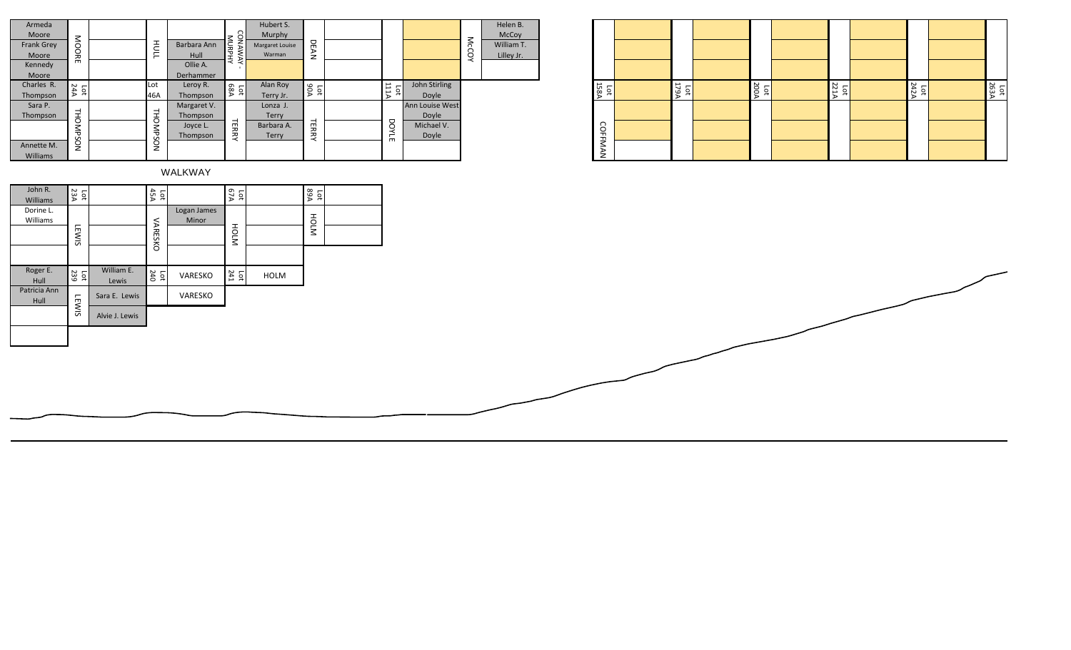| Armeda<br>Moore<br>Frank Grey<br>Moore<br>Kennedy<br>Moore | MOORE                          | HULL        | Barbara Ann<br>Hull<br>Ollie A.<br>Derhammer    | <b>WANNAY</b><br>VANAWAY | Hubert S.<br>Murphy<br>Margaret Louise<br>Warman | DEAN                |                                        |                                                 | McCOY | Helen B.<br>McCoy<br>William T.<br>Lilley Jr. |
|------------------------------------------------------------|--------------------------------|-------------|-------------------------------------------------|--------------------------|--------------------------------------------------|---------------------|----------------------------------------|-------------------------------------------------|-------|-----------------------------------------------|
| Charles R.<br>Thompson                                     | <b>24A</b><br><b>Lot</b>       | Lot<br>46A  | Leroy R.<br>Thompson                            | Lot<br>68A               | Alan Roy<br>Terry Jr.                            | <b>A06</b><br>Lot   | <b>ALLI</b><br>$\overline{\mathsf{p}}$ | John Stirling<br>Doyle                          |       |                                               |
| Sara P.<br>Thompson<br>Annette M.<br>Williams              | <b>THOMPS</b><br>$\tilde{S}$   | THOMPSON    | Margaret V.<br>Thompson<br>Joyce L.<br>Thompson | <b>TERRY</b>             | Lonza J.<br>Terry<br>Barbara A.<br>Terry         | <b>TERRY</b>        | DOYLE                                  | Ann Louise West<br>Doyle<br>Michael V.<br>Doyle |       |                                               |
|                                                            |                                |             | WALKWAY                                         |                          |                                                  |                     |                                        |                                                 |       |                                               |
| John R.<br><b>Williams</b>                                 | 23A<br>$\overline{\mathtt{p}}$ | Lot<br>45A  |                                                 | 67A<br>Ìоt               |                                                  | <b>A9A</b><br>$\Xi$ |                                        |                                                 |       |                                               |
| Dorine L.<br>Williams                                      | E                              | <b>VARE</b> | Logan James<br>Minor                            | 공                        |                                                  | HOLM                |                                        |                                                 |       |                                               |

| <b>158A</b><br>Ìоt | <b>179A</b><br>Ъđ | <b>AOOZ</b><br>Lot | <b>221A</b><br>р | 242A<br>$\overline{5}$ | 263A<br>Ìоt |
|--------------------|-------------------|--------------------|------------------|------------------------|-------------|
| <b>COFFMAN</b>     |                   |                    |                  |                        |             |

| $1$ viouic        |                       |                |                |                |                     | iviui pii y     |              |  |
|-------------------|-----------------------|----------------|----------------|----------------|---------------------|-----------------|--------------|--|
| <b>Frank Grey</b> | MOORE                 |                | HULL           | Barbara Ann    | MURPHY<br>YAWANC    | Margaret Louise | DEAN         |  |
| Moore             |                       |                |                | Hull           |                     | Warman          |              |  |
| Kennedy           |                       |                |                | Ollie A.       |                     |                 |              |  |
| Moore             |                       |                |                | Derhammer      |                     |                 |              |  |
| Charles R.        | Lot<br>$24A$          |                | Lot            | Leroy R.       | Lot<br>68A          | Alan Roy        | 90A          |  |
| Thompson          |                       |                | 46A            | Thompson       |                     | Terry Jr.       |              |  |
| Sara P.           |                       |                |                | Margaret V.    |                     | Lonza J.        |              |  |
| Thompson          | THOMPSON              |                | THOMPSON       | Thompson       |                     | Terry           |              |  |
|                   |                       |                |                | Joyce L.       | <b>TERRY</b>        | Barbara A.      | <b>TERRY</b> |  |
|                   |                       |                |                | Thompson       |                     | <b>Terry</b>    |              |  |
| Annette M.        |                       |                |                |                |                     |                 |              |  |
| <b>Williams</b>   |                       |                |                |                |                     |                 |              |  |
|                   |                       |                |                | <b>WALKWAY</b> |                     |                 |              |  |
|                   |                       |                |                |                |                     |                 |              |  |
| John R.           | Lot<br>$\frac{1}{23}$ |                | Lot<br>45A     |                | Lot<br>$67A$        |                 | Lot<br>89A   |  |
| <b>Williams</b>   |                       |                |                |                |                     |                 |              |  |
| Dorine L.         |                       |                |                | Logan James    |                     |                 |              |  |
| Williams          |                       |                |                | Minor          |                     |                 | HOLM         |  |
|                   | <b>LEWIS</b>          |                | <b>VARESKO</b> |                | HOLM                |                 |              |  |
|                   |                       |                |                |                |                     |                 |              |  |
|                   |                       |                |                |                |                     |                 |              |  |
|                   |                       |                |                |                |                     |                 |              |  |
| Roger E.          | $rac{1}{239}$         | William E.     | Lot<br>$240$   | VARESKO        | Lot $\frac{1}{241}$ | <b>HOLM</b>     |              |  |
| Hull              |                       | Lewis          |                |                |                     |                 |              |  |
| Patricia Ann      |                       | Sara E. Lewis  |                | VARESKO        |                     |                 |              |  |
| Hull              | <b>LEWIS</b>          |                |                |                |                     |                 |              |  |
|                   |                       | Alvie J. Lewis |                |                |                     |                 |              |  |
|                   |                       |                |                |                |                     |                 |              |  |
|                   |                       |                |                |                |                     |                 |              |  |
|                   |                       |                |                |                |                     |                 |              |  |
|                   |                       |                |                |                |                     |                 |              |  |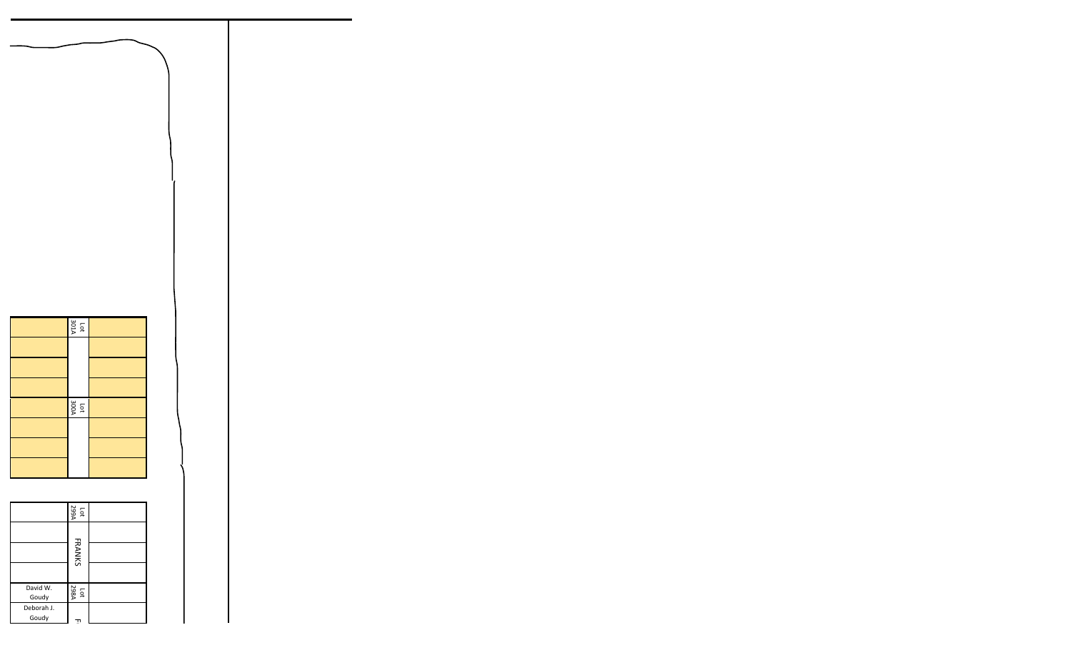

Lot<br>298A

 $\mathbf{\tau}$ 

Goudy

Deborah J. Goudy





























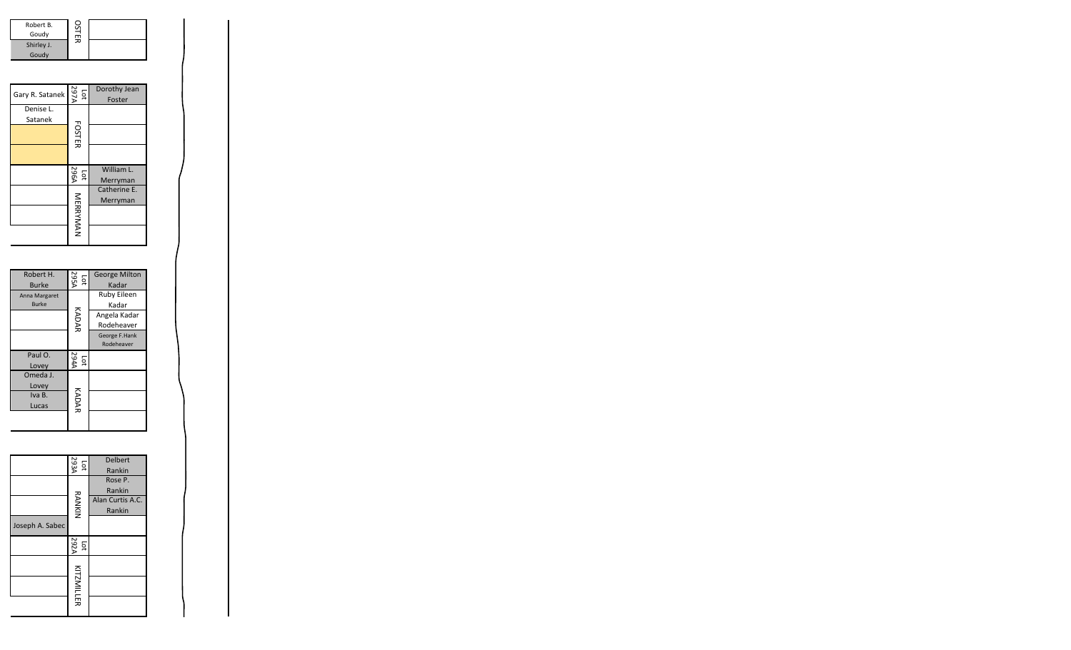| Robert B.<br>Goudy  | OSTER |  |
|---------------------|-------|--|
| Shirley J.<br>Goudy |       |  |

| Robert B.<br>Goudy<br>Shirley J.<br>Goudy | <b>OSTER</b>        |                          |  |
|-------------------------------------------|---------------------|--------------------------|--|
| Gary R. Satanek                           | A797A<br><b>Lot</b> | Dorothy Jean<br>Foster   |  |
| Denise L.<br>Satanek                      | <b>FOSTER</b>       |                          |  |
|                                           | 296A<br>Гot         | William L.<br>Merryman   |  |
|                                           | MERRYMAN            | Catherine E.<br>Merryman |  |

| Robert H.     | <b>295A</b><br>pф             | <b>George Milton</b> |
|---------------|-------------------------------|----------------------|
| <b>Burke</b>  |                               | Kadar                |
| Anna Margaret | KADAR                         | <b>Ruby Eileen</b>   |
| <b>Burke</b>  |                               | Kadar                |
|               |                               | Angela Kadar         |
|               |                               | Rodeheaver           |
|               |                               | George F.Hank        |
|               |                               | Rodeheaver           |
| Paul O.       | <b>4762</b><br>$\overline{5}$ |                      |
| Lovey         |                               |                      |
|               |                               |                      |
| Omeda J.      |                               |                      |
| Lovey         |                               |                      |
| Iva B.        |                               |                      |
| Lucas         |                               |                      |
|               | KADAR                         |                      |

| Iva B.<br>Lucas | KADAR                  |                                                 |
|-----------------|------------------------|-------------------------------------------------|
|                 | 293A<br>Lot            | <b>Delbert</b><br>Rankin                        |
| Joseph A. Sabec | <b>RANKIN</b>          | Rose P.<br>Rankin<br>Alan Curtis A.C.<br>Rankin |
|                 | 292A<br>$\overline{5}$ |                                                 |
|                 | <b>KITZMILLER</b>      |                                                 |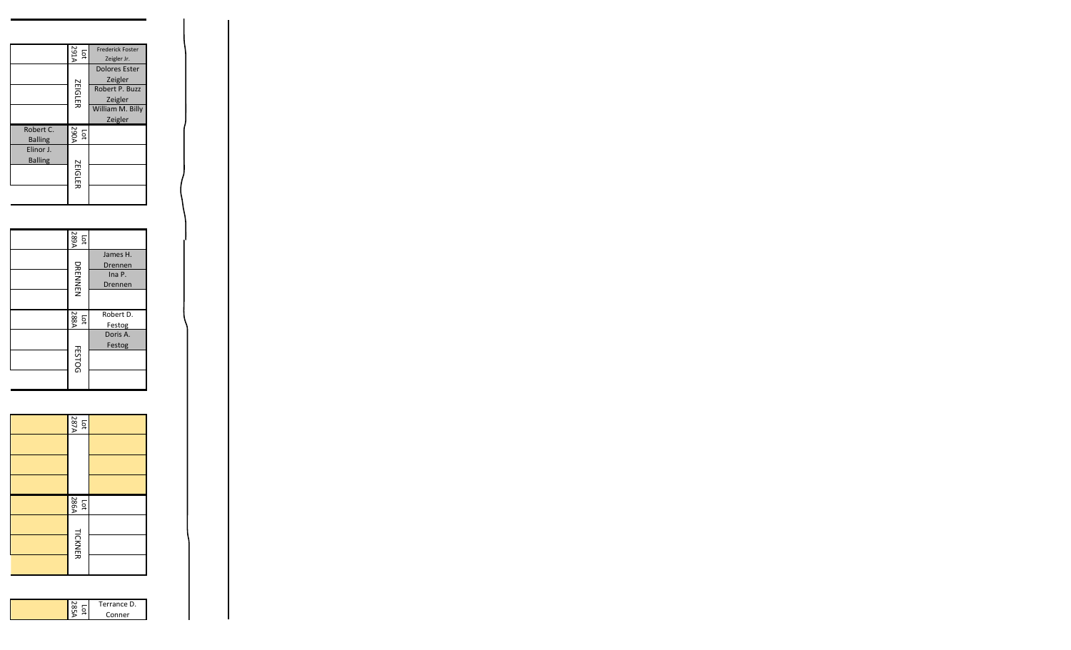|                             | <b>ALES</b><br>$\overline{5}$ | <b>Frederick Foster</b><br>Zeigler Jr. |
|-----------------------------|-------------------------------|----------------------------------------|
|                             |                               | <b>Dolores Ester</b><br>Zeigler        |
|                             | <b>ZEIGLER</b>                | Robert P. Buzz<br>Zeigler              |
|                             |                               | William M. Billy<br>Zeigler            |
| Robert C.<br><b>Balling</b> | <b>290A</b><br>$\overline{5}$ |                                        |
| Elinor J.<br><b>Balling</b> |                               |                                        |
|                             | <b>ZEIGLER</b>                |                                        |
|                             |                               |                                        |

| 289A<br>pс             |                                          |
|------------------------|------------------------------------------|
| DRENNEN                | James H.<br>Drennen<br>Ina P.<br>Drennen |
|                        |                                          |
| 2884<br>$\overline{p}$ | Robert D.<br>Festog                      |
| <b>FESTOG</b>          | Doris A.<br>Festog                       |



| Terrance D. |
|-------------|
| Conner      |